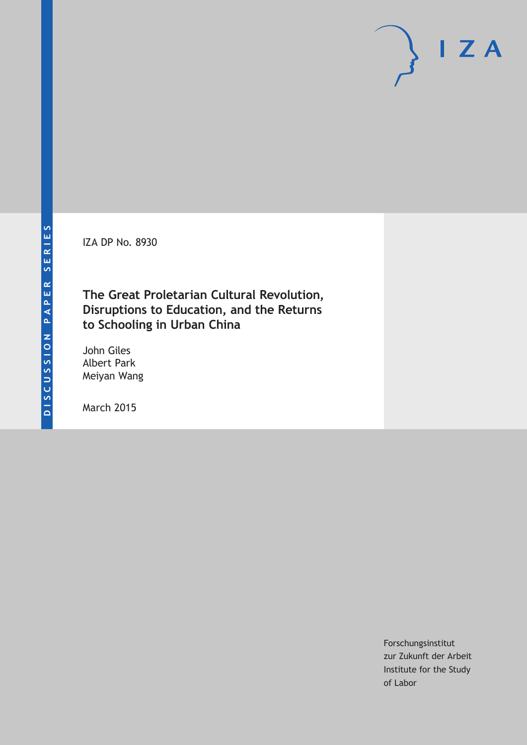IZA DP No. 8930

**The Great Proletarian Cultural Revolution, Disruptions to Education, and the Returns to Schooling in Urban China**

John Giles Albert Park Meiyan Wang

March 2015

Forschungsinstitut zur Zukunft der Arbeit Institute for the Study of Labor

 $I Z A$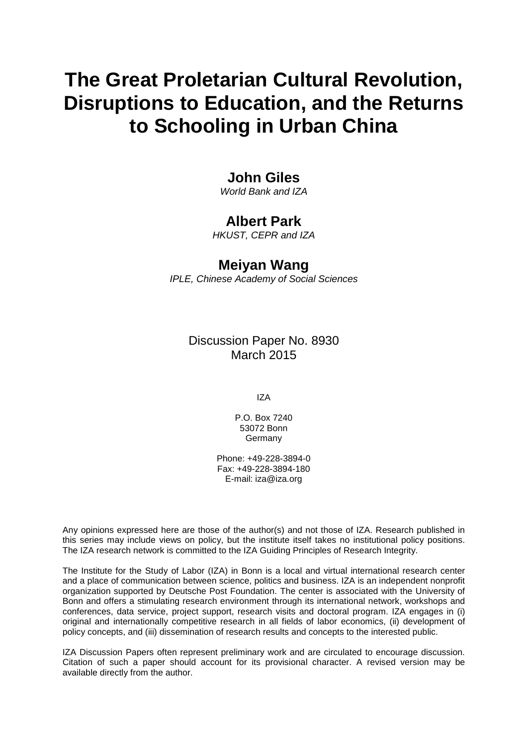# **The Great Proletarian Cultural Revolution, Disruptions to Education, and the Returns to Schooling in Urban China**

# **John Giles**

*World Bank and IZA*

### **Albert Park**

*HKUST, CEPR and IZA*

## **Meiyan Wang**

*IPLE, Chinese Academy of Social Sciences*

Discussion Paper No. 8930 March 2015

IZA

P.O. Box 7240 53072 Bonn **Germany** 

Phone: +49-228-3894-0 Fax: +49-228-3894-180 E-mail: iza@iza.org

Any opinions expressed here are those of the author(s) and not those of IZA. Research published in this series may include views on policy, but the institute itself takes no institutional policy positions. The IZA research network is committed to the IZA Guiding Principles of Research Integrity.

The Institute for the Study of Labor (IZA) in Bonn is a local and virtual international research center and a place of communication between science, politics and business. IZA is an independent nonprofit organization supported by Deutsche Post Foundation. The center is associated with the University of Bonn and offers a stimulating research environment through its international network, workshops and conferences, data service, project support, research visits and doctoral program. IZA engages in (i) original and internationally competitive research in all fields of labor economics, (ii) development of policy concepts, and (iii) dissemination of research results and concepts to the interested public.

<span id="page-1-0"></span>IZA Discussion Papers often represent preliminary work and are circulated to encourage discussion. Citation of such a paper should account for its provisional character. A revised version may be available directly from the author.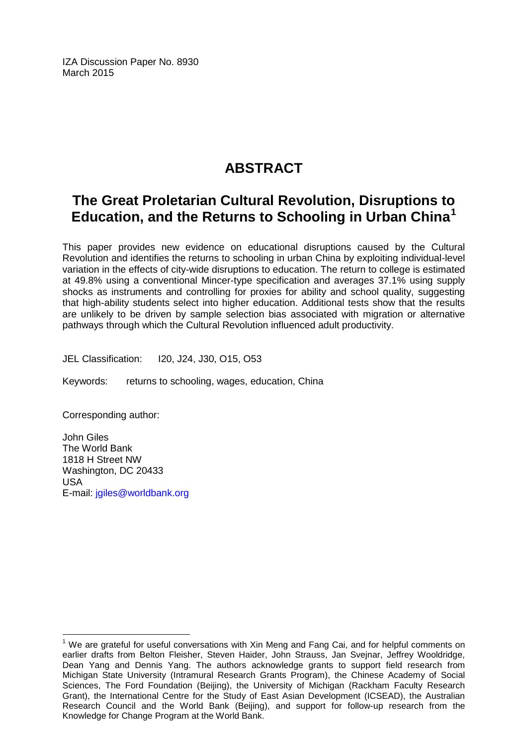IZA Discussion Paper No. 8930 March 2015

# **ABSTRACT**

# **The Great Proletarian Cultural Revolution, Disruptions to Education, and the Returns to Schooling in Urban China[1](#page-1-0)**

This paper provides new evidence on educational disruptions caused by the Cultural Revolution and identifies the returns to schooling in urban China by exploiting individual-level variation in the effects of city-wide disruptions to education. The return to college is estimated at 49.8% using a conventional Mincer-type specification and averages 37.1% using supply shocks as instruments and controlling for proxies for ability and school quality, suggesting that high-ability students select into higher education. Additional tests show that the results are unlikely to be driven by sample selection bias associated with migration or alternative pathways through which the Cultural Revolution influenced adult productivity.

JEL Classification: I20, J24, J30, O15, O53

Keywords: returns to schooling, wages, education, China

Corresponding author:

John Giles The World Bank 1818 H Street NW Washington, DC 20433 USA E-mail: [jgiles@worldbank.org](mailto:jgiles@worldbank.org)

 $<sup>1</sup>$  We are grateful for useful conversations with Xin Meng and Fang Cai, and for helpful comments on</sup> earlier drafts from Belton Fleisher, Steven Haider, John Strauss, Jan Svejnar, Jeffrey Wooldridge, Dean Yang and Dennis Yang. The authors acknowledge grants to support field research from Michigan State University (Intramural Research Grants Program), the Chinese Academy of Social Sciences, The Ford Foundation (Beijing), the University of Michigan (Rackham Faculty Research Grant), the International Centre for the Study of East Asian Development (ICSEAD), the Australian Research Council and the World Bank (Beijing), and support for follow-up research from the Knowledge for Change Program at the World Bank.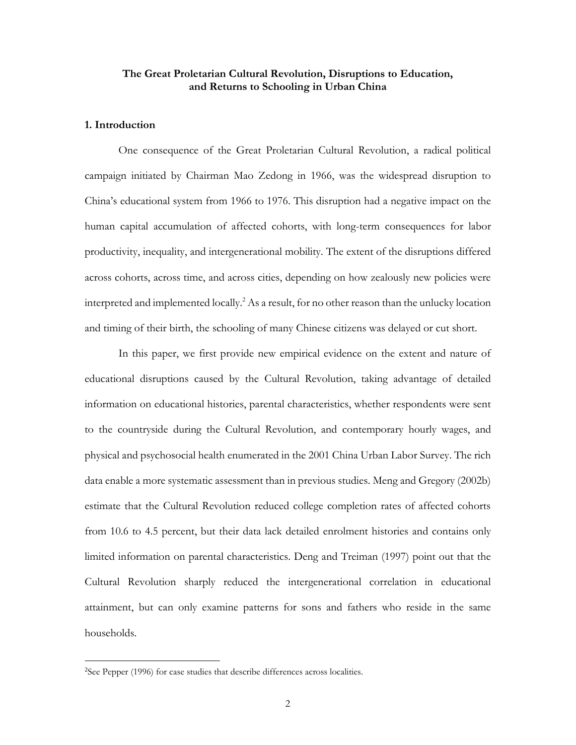#### **The Great Proletarian Cultural Revolution, Disruptions to Education, and Returns to Schooling in Urban China**

#### **1. Introduction**

One consequence of the Great Proletarian Cultural Revolution, a radical political campaign initiated by Chairman Mao Zedong in 1966, was the widespread disruption to China's educational system from 1966 to 1976. This disruption had a negative impact on the human capital accumulation of affected cohorts, with long-term consequences for labor productivity, inequality, and intergenerational mobility. The extent of the disruptions differed across cohorts, across time, and across cities, depending on how zealously new policies were interpreted and implemented locally.<sup>2</sup> As a result, for no other reason than the unlucky location and timing of their birth, the schooling of many Chinese citizens was delayed or cut short.

In this paper, we first provide new empirical evidence on the extent and nature of educational disruptions caused by the Cultural Revolution, taking advantage of detailed information on educational histories, parental characteristics, whether respondents were sent to the countryside during the Cultural Revolution, and contemporary hourly wages, and physical and psychosocial health enumerated in the 2001 China Urban Labor Survey. The rich data enable a more systematic assessment than in previous studies. Meng and Gregory (2002b) estimate that the Cultural Revolution reduced college completion rates of affected cohorts from 10.6 to 4.5 percent, but their data lack detailed enrolment histories and contains only limited information on parental characteristics. Deng and Treiman (1997) point out that the Cultural Revolution sharply reduced the intergenerational correlation in educational attainment, but can only examine patterns for sons and fathers who reside in the same households.

<sup>&</sup>lt;sup>2</sup>See Pepper (1996) for case studies that describe differences across localities.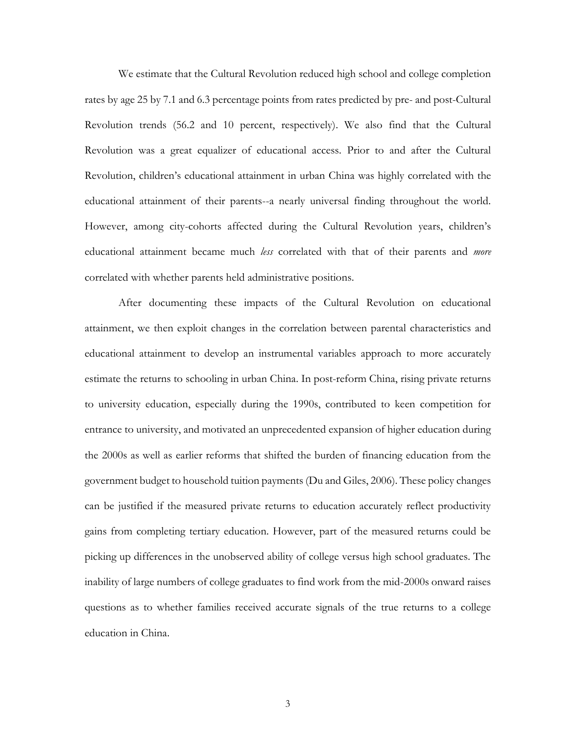We estimate that the Cultural Revolution reduced high school and college completion rates by age 25 by 7.1 and 6.3 percentage points from rates predicted by pre- and post-Cultural Revolution trends (56.2 and 10 percent, respectively). We also find that the Cultural Revolution was a great equalizer of educational access. Prior to and after the Cultural Revolution, children's educational attainment in urban China was highly correlated with the educational attainment of their parents--a nearly universal finding throughout the world. However, among city-cohorts affected during the Cultural Revolution years, children's educational attainment became much *less* correlated with that of their parents and *more* correlated with whether parents held administrative positions.

After documenting these impacts of the Cultural Revolution on educational attainment, we then exploit changes in the correlation between parental characteristics and educational attainment to develop an instrumental variables approach to more accurately estimate the returns to schooling in urban China. In post-reform China, rising private returns to university education, especially during the 1990s, contributed to keen competition for entrance to university, and motivated an unprecedented expansion of higher education during the 2000s as well as earlier reforms that shifted the burden of financing education from the government budget to household tuition payments (Du and Giles, 2006). These policy changes can be justified if the measured private returns to education accurately reflect productivity gains from completing tertiary education. However, part of the measured returns could be picking up differences in the unobserved ability of college versus high school graduates. The inability of large numbers of college graduates to find work from the mid-2000s onward raises questions as to whether families received accurate signals of the true returns to a college education in China.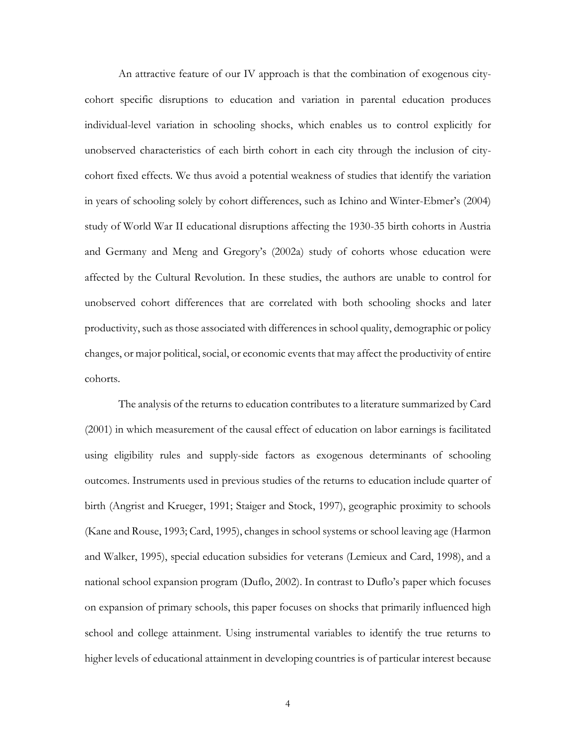An attractive feature of our IV approach is that the combination of exogenous citycohort specific disruptions to education and variation in parental education produces individual-level variation in schooling shocks, which enables us to control explicitly for unobserved characteristics of each birth cohort in each city through the inclusion of citycohort fixed effects. We thus avoid a potential weakness of studies that identify the variation in years of schooling solely by cohort differences, such as Ichino and Winter-Ebmer's (2004) study of World War II educational disruptions affecting the 1930-35 birth cohorts in Austria and Germany and Meng and Gregory's (2002a) study of cohorts whose education were affected by the Cultural Revolution. In these studies, the authors are unable to control for unobserved cohort differences that are correlated with both schooling shocks and later productivity, such as those associated with differences in school quality, demographic or policy changes, or major political, social, or economic eventsthat may affect the productivity of entire cohorts.

The analysis of the returns to education contributes to a literature summarized by Card (2001) in which measurement of the causal effect of education on labor earnings is facilitated using eligibility rules and supply-side factors as exogenous determinants of schooling outcomes. Instruments used in previous studies of the returns to education include quarter of birth (Angrist and Krueger, 1991; Staiger and Stock, 1997), geographic proximity to schools (Kane and Rouse, 1993; Card, 1995), changes in school systems or school leaving age (Harmon and Walker, 1995), special education subsidies for veterans (Lemieux and Card, 1998), and a national school expansion program (Duflo, 2002). In contrast to Duflo's paper which focuses on expansion of primary schools, this paper focuses on shocks that primarily influenced high school and college attainment. Using instrumental variables to identify the true returns to higher levels of educational attainment in developing countries is of particular interest because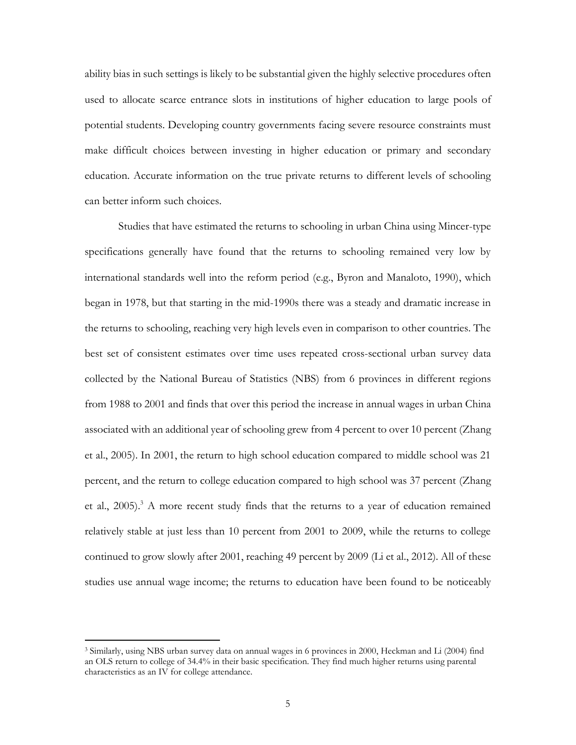ability bias in such settings is likely to be substantial given the highly selective procedures often used to allocate scarce entrance slots in institutions of higher education to large pools of potential students. Developing country governments facing severe resource constraints must make difficult choices between investing in higher education or primary and secondary education. Accurate information on the true private returns to different levels of schooling can better inform such choices.

Studies that have estimated the returns to schooling in urban China using Mincer-type specifications generally have found that the returns to schooling remained very low by international standards well into the reform period (e.g., Byron and Manaloto, 1990), which began in 1978, but that starting in the mid-1990s there was a steady and dramatic increase in the returns to schooling, reaching very high levels even in comparison to other countries. The best set of consistent estimates over time uses repeated cross-sectional urban survey data collected by the National Bureau of Statistics (NBS) from 6 provinces in different regions from 1988 to 2001 and finds that over this period the increase in annual wages in urban China associated with an additional year of schooling grew from 4 percent to over 10 percent (Zhang et al., 2005). In 2001, the return to high school education compared to middle school was 21 percent, and the return to college education compared to high school was 37 percent (Zhang et al., 2005). <sup>3</sup> A more recent study finds that the returns to a year of education remained relatively stable at just less than 10 percent from 2001 to 2009, while the returns to college continued to grow slowly after 2001, reaching 49 percent by 2009 (Li et al., 2012). All of these studies use annual wage income; the returns to education have been found to be noticeably

<sup>3</sup> Similarly, using NBS urban survey data on annual wages in 6 provinces in 2000, Heckman and Li (2004) find an OLS return to college of 34.4% in their basic specification. They find much higher returns using parental characteristics as an IV for college attendance.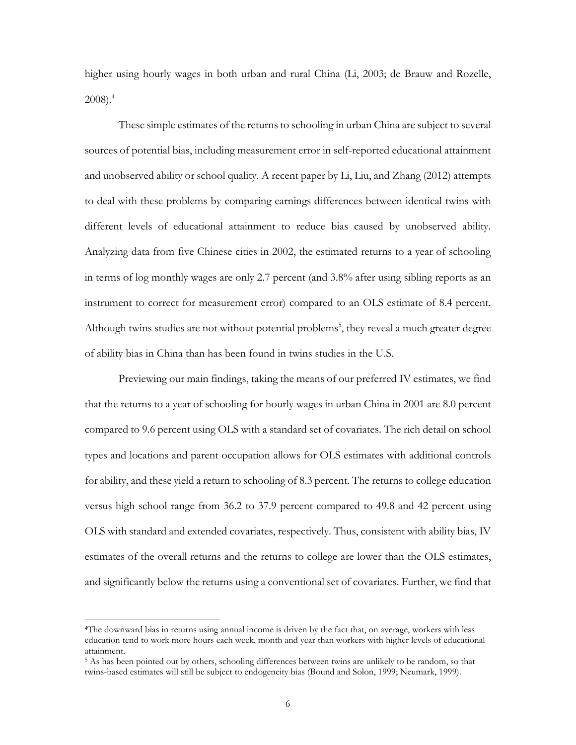higher using hourly wages in both urban and rural China (Li, 2003; de Brauw and Rozelle, 2008). 4

These simple estimates of the returns to schooling in urban China are subject to several sources of potential bias, including measurement error in self-reported educational attainment and unobserved ability or school quality. A recent paper by Li, Liu, and Zhang (2012) attempts to deal with these problems by comparing earnings differences between identical twins with different levels of educational attainment to reduce bias caused by unobserved ability. Analyzing data from five Chinese cities in 2002, the estimated returns to a year of schooling in terms of log monthly wages are only 2.7 percent (and 3.8% after using sibling reports as an instrument to correct for measurement error) compared to an OLS estimate of 8.4 percent. Although twins studies are not without potential problems<sup>5</sup>, they reveal a much greater degree of ability bias in China than has been found in twins studies in the U.S.

Previewing our main findings, taking the means of our preferred IV estimates, we find that the returns to a year of schooling for hourly wages in urban China in 2001 are 8.0 percent compared to 9.6 percent using OLS with a standard set of covariates. The rich detail on school types and locations and parent occupation allows for OLS estimates with additional controls for ability, and these yield a return to schooling of 8.3 percent. The returns to college education versus high school range from 36.2 to 37.9 percent compared to 49.8 and 42 percent using OLS with standard and extended covariates, respectively. Thus, consistent with ability bias, IV estimates of the overall returns and the returns to college are lower than the OLS estimates, and significantly below the returns using a conventional set of covariates. Further, we find that

<sup>4</sup>The downward bias in returns using annual income is driven by the fact that, on average, workers with less education tend to work more hours each week, month and year than workers with higher levels of educational attainment.

<sup>5</sup> As has been pointed out by others, schooling differences between twins are unlikely to be random, so that twins-based estimates will still be subject to endogeneity bias (Bound and Solon, 1999; Neumark, 1999).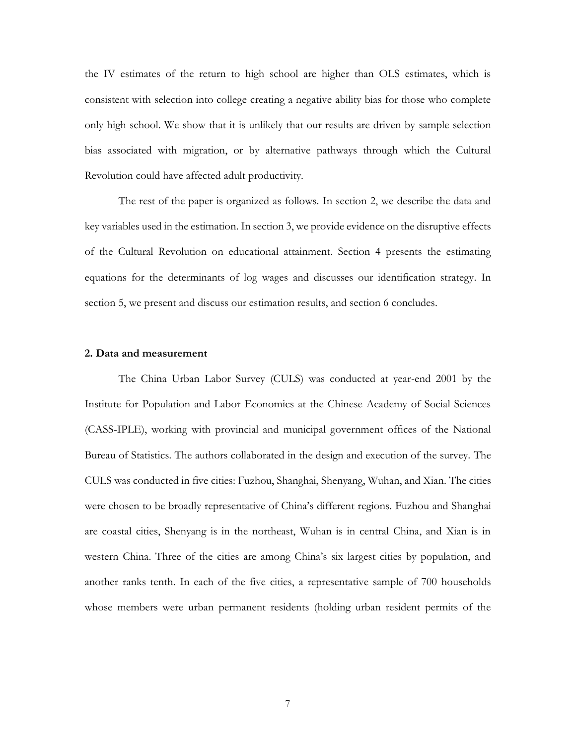the IV estimates of the return to high school are higher than OLS estimates, which is consistent with selection into college creating a negative ability bias for those who complete only high school. We show that it is unlikely that our results are driven by sample selection bias associated with migration, or by alternative pathways through which the Cultural Revolution could have affected adult productivity.

The rest of the paper is organized as follows. In section 2, we describe the data and key variables used in the estimation. In section 3, we provide evidence on the disruptive effects of the Cultural Revolution on educational attainment. Section 4 presents the estimating equations for the determinants of log wages and discusses our identification strategy. In section 5, we present and discuss our estimation results, and section 6 concludes.

#### **2. Data and measurement**

The China Urban Labor Survey (CULS) was conducted at year-end 2001 by the Institute for Population and Labor Economics at the Chinese Academy of Social Sciences (CASS-IPLE), working with provincial and municipal government offices of the National Bureau of Statistics. The authors collaborated in the design and execution of the survey. The CULS was conducted in five cities: Fuzhou, Shanghai, Shenyang, Wuhan, and Xian. The cities were chosen to be broadly representative of China's different regions. Fuzhou and Shanghai are coastal cities, Shenyang is in the northeast, Wuhan is in central China, and Xian is in western China. Three of the cities are among China's six largest cities by population, and another ranks tenth. In each of the five cities, a representative sample of 700 households whose members were urban permanent residents (holding urban resident permits of the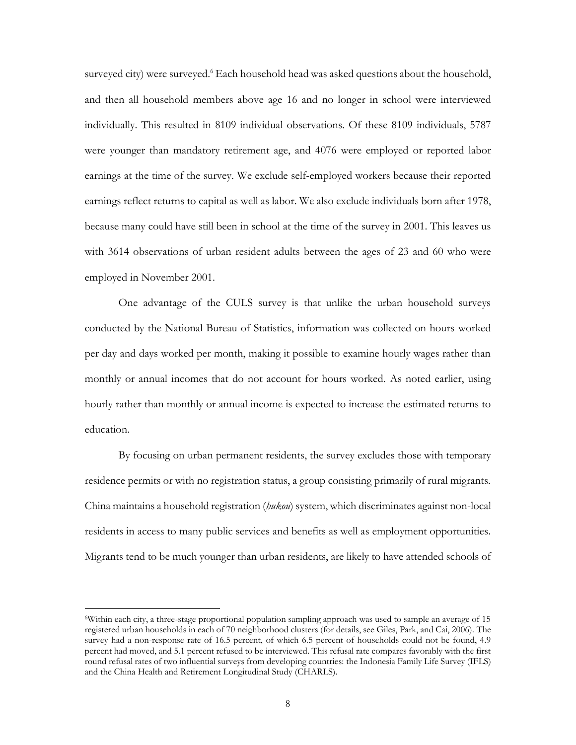surveyed city) were surveyed.<sup>6</sup> Each household head was asked questions about the household, and then all household members above age 16 and no longer in school were interviewed individually. This resulted in 8109 individual observations. Of these 8109 individuals, 5787 were younger than mandatory retirement age, and 4076 were employed or reported labor earnings at the time of the survey. We exclude self-employed workers because their reported earnings reflect returns to capital as well as labor. We also exclude individuals born after 1978, because many could have still been in school at the time of the survey in 2001. This leaves us with 3614 observations of urban resident adults between the ages of 23 and 60 who were employed in November 2001.

One advantage of the CULS survey is that unlike the urban household surveys conducted by the National Bureau of Statistics, information was collected on hours worked per day and days worked per month, making it possible to examine hourly wages rather than monthly or annual incomes that do not account for hours worked. As noted earlier, using hourly rather than monthly or annual income is expected to increase the estimated returns to education.

By focusing on urban permanent residents, the survey excludes those with temporary residence permits or with no registration status, a group consisting primarily of rural migrants. China maintains a household registration (*hukou*) system, which discriminates against non-local residents in access to many public services and benefits as well as employment opportunities. Migrants tend to be much younger than urban residents, are likely to have attended schools of

<sup>6</sup>Within each city, a three-stage proportional population sampling approach was used to sample an average of 15 registered urban households in each of 70 neighborhood clusters (for details, see Giles, Park, and Cai, 2006). The survey had a non-response rate of 16.5 percent, of which 6.5 percent of households could not be found, 4.9 percent had moved, and 5.1 percent refused to be interviewed. This refusal rate compares favorably with the first round refusal rates of two influential surveys from developing countries: the Indonesia Family Life Survey (IFLS) and the China Health and Retirement Longitudinal Study (CHARLS).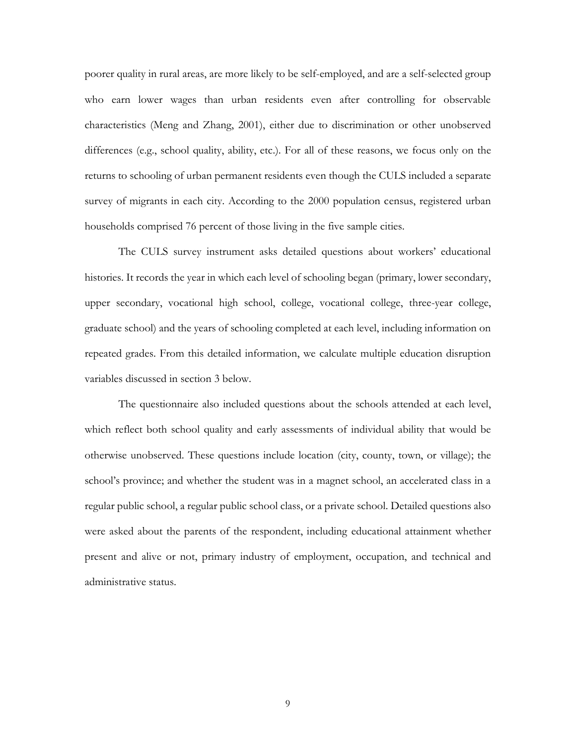poorer quality in rural areas, are more likely to be self-employed, and are a self-selected group who earn lower wages than urban residents even after controlling for observable characteristics (Meng and Zhang, 2001), either due to discrimination or other unobserved differences (e.g., school quality, ability, etc.). For all of these reasons, we focus only on the returns to schooling of urban permanent residents even though the CULS included a separate survey of migrants in each city. According to the 2000 population census, registered urban households comprised 76 percent of those living in the five sample cities.

The CULS survey instrument asks detailed questions about workers' educational histories. It records the year in which each level of schooling began (primary, lower secondary, upper secondary, vocational high school, college, vocational college, three-year college, graduate school) and the years of schooling completed at each level, including information on repeated grades. From this detailed information, we calculate multiple education disruption variables discussed in section 3 below.

The questionnaire also included questions about the schools attended at each level, which reflect both school quality and early assessments of individual ability that would be otherwise unobserved. These questions include location (city, county, town, or village); the school's province; and whether the student was in a magnet school, an accelerated class in a regular public school, a regular public school class, or a private school. Detailed questions also were asked about the parents of the respondent, including educational attainment whether present and alive or not, primary industry of employment, occupation, and technical and administrative status.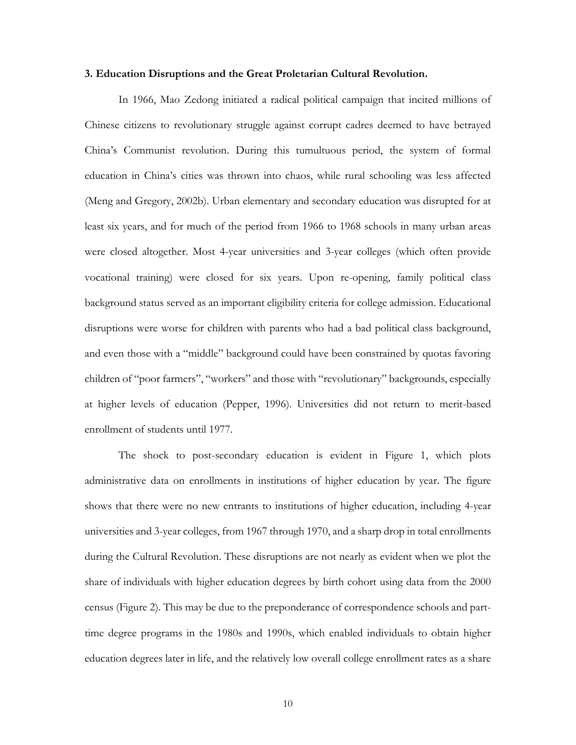#### **3. Education Disruptions and the Great Proletarian Cultural Revolution.**

In 1966, Mao Zedong initiated a radical political campaign that incited millions of Chinese citizens to revolutionary struggle against corrupt cadres deemed to have betrayed China's Communist revolution. During this tumultuous period, the system of formal education in China's cities was thrown into chaos, while rural schooling was less affected (Meng and Gregory, 2002b). Urban elementary and secondary education was disrupted for at least six years, and for much of the period from 1966 to 1968 schools in many urban areas were closed altogether. Most 4-year universities and 3-year colleges (which often provide vocational training) were closed for six years. Upon re-opening, family political class background status served as an important eligibility criteria for college admission. Educational disruptions were worse for children with parents who had a bad political class background, and even those with a "middle" background could have been constrained by quotas favoring children of "poor farmers", "workers" and those with "revolutionary" backgrounds, especially at higher levels of education (Pepper, 1996). Universities did not return to merit-based enrollment of students until 1977.

The shock to post-secondary education is evident in Figure 1, which plots administrative data on enrollments in institutions of higher education by year. The figure shows that there were no new entrants to institutions of higher education, including 4-year universities and 3-year colleges, from 1967 through 1970, and a sharp drop in total enrollments during the Cultural Revolution. These disruptions are not nearly as evident when we plot the share of individuals with higher education degrees by birth cohort using data from the 2000 census (Figure 2). This may be due to the preponderance of correspondence schools and parttime degree programs in the 1980s and 1990s, which enabled individuals to obtain higher education degrees later in life, and the relatively low overall college enrollment rates as a share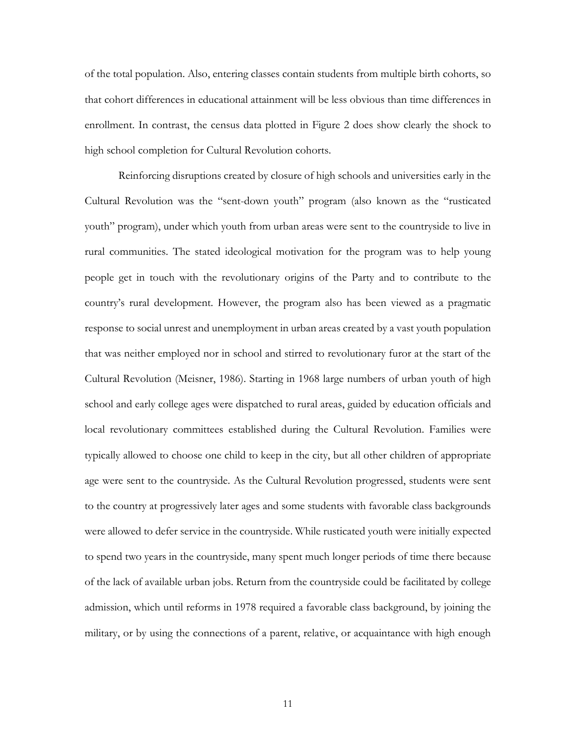of the total population. Also, entering classes contain students from multiple birth cohorts, so that cohort differences in educational attainment will be less obvious than time differences in enrollment. In contrast, the census data plotted in Figure 2 does show clearly the shock to high school completion for Cultural Revolution cohorts.

Reinforcing disruptions created by closure of high schools and universities early in the Cultural Revolution was the "sent-down youth" program (also known as the "rusticated youth" program), under which youth from urban areas were sent to the countryside to live in rural communities. The stated ideological motivation for the program was to help young people get in touch with the revolutionary origins of the Party and to contribute to the country's rural development. However, the program also has been viewed as a pragmatic response to social unrest and unemployment in urban areas created by a vast youth population that was neither employed nor in school and stirred to revolutionary furor at the start of the Cultural Revolution (Meisner, 1986). Starting in 1968 large numbers of urban youth of high school and early college ages were dispatched to rural areas, guided by education officials and local revolutionary committees established during the Cultural Revolution. Families were typically allowed to choose one child to keep in the city, but all other children of appropriate age were sent to the countryside. As the Cultural Revolution progressed, students were sent to the country at progressively later ages and some students with favorable class backgrounds were allowed to defer service in the countryside. While rusticated youth were initially expected to spend two years in the countryside, many spent much longer periods of time there because of the lack of available urban jobs. Return from the countryside could be facilitated by college admission, which until reforms in 1978 required a favorable class background, by joining the military, or by using the connections of a parent, relative, or acquaintance with high enough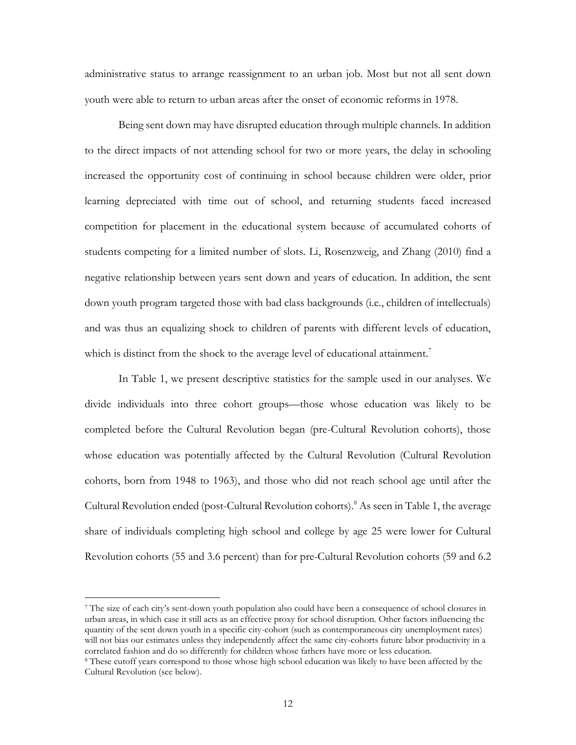administrative status to arrange reassignment to an urban job. Most but not all sent down youth were able to return to urban areas after the onset of economic reforms in 1978.

Being sent down may have disrupted education through multiple channels. In addition to the direct impacts of not attending school for two or more years, the delay in schooling increased the opportunity cost of continuing in school because children were older, prior learning depreciated with time out of school, and returning students faced increased competition for placement in the educational system because of accumulated cohorts of students competing for a limited number of slots. Li, Rosenzweig, and Zhang (2010) find a negative relationship between years sent down and years of education. In addition, the sent down youth program targeted those with bad class backgrounds (i.e., children of intellectuals) and was thus an equalizing shock to children of parents with different levels of education, which is distinct from the shock to the average level of educational attainment.<sup>7</sup>

In Table 1, we present descriptive statistics for the sample used in our analyses. We divide individuals into three cohort groups—those whose education was likely to be completed before the Cultural Revolution began (pre-Cultural Revolution cohorts), those whose education was potentially affected by the Cultural Revolution (Cultural Revolution cohorts, born from 1948 to 1963), and those who did not reach school age until after the Cultural Revolution ended (post-Cultural Revolution cohorts).<sup>8</sup> As seen in Table 1, the average share of individuals completing high school and college by age 25 were lower for Cultural Revolution cohorts (55 and 3.6 percent) than for pre-Cultural Revolution cohorts (59 and 6.2

<sup>7</sup> The size of each city's sent-down youth population also could have been a consequence of school closures in urban areas, in which case it still acts as an effective proxy for school disruption. Other factors influencing the quantity of the sent down youth in a specific city-cohort (such as contemporaneous city unemployment rates) will not bias our estimates unless they independently affect the same city-cohorts future labor productivity in a correlated fashion and do so differently for children whose fathers have more or less education.

<sup>8</sup> These cutoff years correspond to those whose high school education was likely to have been affected by the Cultural Revolution (see below).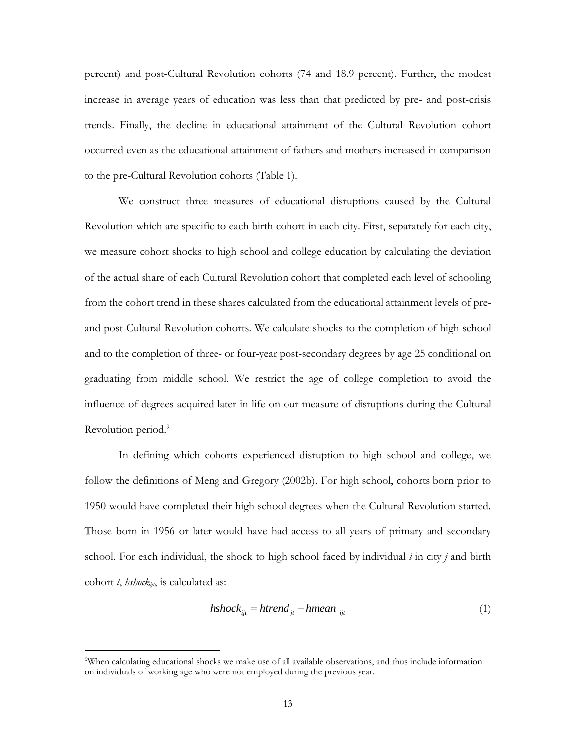percent) and post-Cultural Revolution cohorts (74 and 18.9 percent). Further, the modest increase in average years of education was less than that predicted by pre- and post-crisis trends. Finally, the decline in educational attainment of the Cultural Revolution cohort occurred even as the educational attainment of fathers and mothers increased in comparison to the pre-Cultural Revolution cohorts (Table 1).

We construct three measures of educational disruptions caused by the Cultural Revolution which are specific to each birth cohort in each city. First, separately for each city, we measure cohort shocks to high school and college education by calculating the deviation of the actual share of each Cultural Revolution cohort that completed each level of schooling from the cohort trend in these shares calculated from the educational attainment levels of preand post-Cultural Revolution cohorts. We calculate shocks to the completion of high school and to the completion of three- or four-year post-secondary degrees by age 25 conditional on graduating from middle school. We restrict the age of college completion to avoid the influence of degrees acquired later in life on our measure of disruptions during the Cultural Revolution period.<sup>9</sup>

In defining which cohorts experienced disruption to high school and college, we follow the definitions of Meng and Gregory (2002b). For high school, cohorts born prior to 1950 would have completed their high school degrees when the Cultural Revolution started. Those born in 1956 or later would have had access to all years of primary and secondary school. For each individual, the shock to high school faced by individual *i* in city *j* and birth cohort *t*, *hshockijt*, is calculated as:

$$
hshock_{ijt} = h trend_{jt} - hmean_{-ijt}
$$
 (1)

<sup>9</sup>When calculating educational shocks we make use of all available observations, and thus include information on individuals of working age who were not employed during the previous year.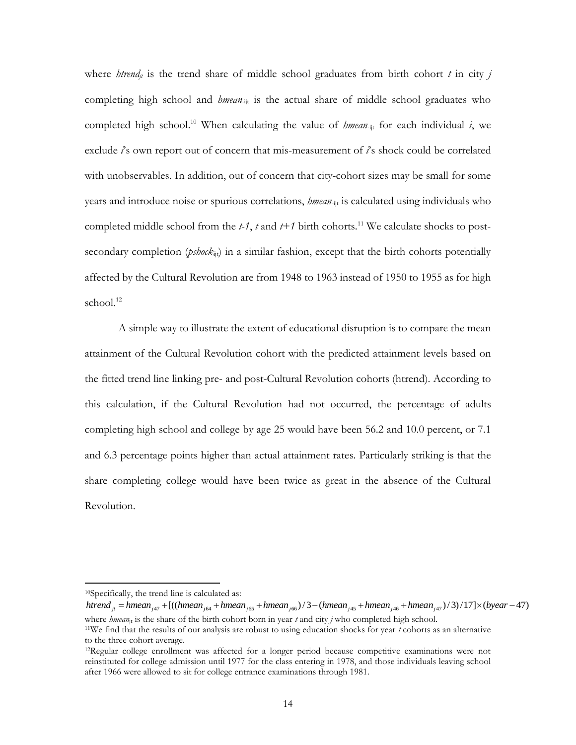where *htrend<sub>it</sub>* is the trend share of middle school graduates from birth cohort *t* in city *j* completing high school and *hmean*<sub>-ijt</sub> is the actual share of middle school graduates who completed high school.<sup>10</sup> When calculating the value of *hmean*-ijt for each individual *i*, we exclude *i*'s own report out of concern that mis-measurement of *i*'s shock could be correlated with unobservables. In addition, out of concern that city-cohort sizes may be small for some years and introduce noise or spurious correlations, *hmean*-ijt is calculated using individuals who completed middle school from the  $t-1$ ,  $t$  and  $t+1$  birth cohorts.<sup>11</sup> We calculate shocks to postsecondary completion ( $\mathit{psback}_{\text{iii}}$ ) in a similar fashion, except that the birth cohorts potentially affected by the Cultural Revolution are from 1948 to 1963 instead of 1950 to 1955 as for high school. $12$ 

A simple way to illustrate the extent of educational disruption is to compare the mean attainment of the Cultural Revolution cohort with the predicted attainment levels based on the fitted trend line linking pre- and post-Cultural Revolution cohorts (htrend). According to this calculation, if the Cultural Revolution had not occurred, the percentage of adults completing high school and college by age 25 would have been 56.2 and 10.0 percent, or 7.1 and 6.3 percentage points higher than actual attainment rates. Particularly striking is that the share completing college would have been twice as great in the absence of the Cultural Revolution.

<sup>10</sup>Specifically, the trend line is calculated as:

 $h trend_{ii} = hmean_{i47} + [((hmean_{i64} + hmean_{i65} + hmean_{i66})/3 - (hmean_{i45} + hmean_{i46} + hmean_{i47})/3)/17] \times (byear - 47)$ where *hmean*<sub>jt</sub> is the share of the birth cohort born in year *t* and city *j* who completed high school. <sup>11</sup>We find that the results of our analysis are robust to using education shocks for year *t* cohorts as an alternative

to the three cohort average. <sup>12</sup>Regular college enrollment was affected for a longer period because competitive examinations were not

reinstituted for college admission until 1977 for the class entering in 1978, and those individuals leaving school after 1966 were allowed to sit for college entrance examinations through 1981.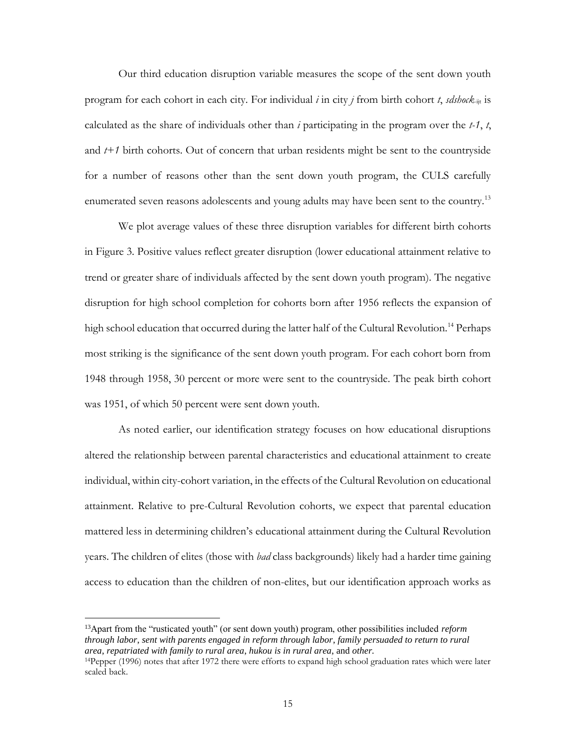Our third education disruption variable measures the scope of the sent down youth program for each cohort in each city. For individual *i* in city *j* from birth cohort *t*, *sdshock*-ijt is calculated as the share of individuals other than *i* participating in the program over the *t-1*, *t*, and *t+1* birth cohorts. Out of concern that urban residents might be sent to the countryside for a number of reasons other than the sent down youth program, the CULS carefully enumerated seven reasons adolescents and young adults may have been sent to the country.<sup>13</sup>

We plot average values of these three disruption variables for different birth cohorts in Figure 3. Positive values reflect greater disruption (lower educational attainment relative to trend or greater share of individuals affected by the sent down youth program). The negative disruption for high school completion for cohorts born after 1956 reflects the expansion of high school education that occurred during the latter half of the Cultural Revolution.<sup>14</sup> Perhaps most striking is the significance of the sent down youth program. For each cohort born from 1948 through 1958, 30 percent or more were sent to the countryside. The peak birth cohort was 1951, of which 50 percent were sent down youth.

As noted earlier, our identification strategy focuses on how educational disruptions altered the relationship between parental characteristics and educational attainment to create individual, within city-cohort variation, in the effects of the Cultural Revolution on educational attainment. Relative to pre-Cultural Revolution cohorts, we expect that parental education mattered less in determining children's educational attainment during the Cultural Revolution years. The children of elites (those with *bad* class backgrounds) likely had a harder time gaining access to education than the children of non-elites, but our identification approach works as

<sup>13</sup>Apart from the "rusticated youth" (or sent down youth) program, other possibilities included *reform through labor*, *sent with parents engaged in reform through labor*, *family persuaded to return to rural area*, *repatriated with family to rural area*, *hukou is in rural area*, and *other.*

<sup>14</sup>Pepper (1996) notes that after 1972 there were efforts to expand high school graduation rates which were later scaled back.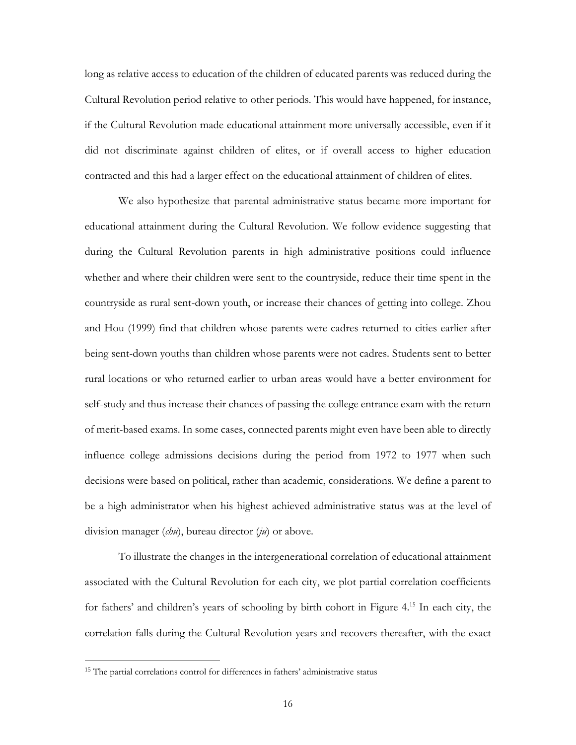long as relative access to education of the children of educated parents was reduced during the Cultural Revolution period relative to other periods. This would have happened, for instance, if the Cultural Revolution made educational attainment more universally accessible, even if it did not discriminate against children of elites, or if overall access to higher education contracted and this had a larger effect on the educational attainment of children of elites.

We also hypothesize that parental administrative status became more important for educational attainment during the Cultural Revolution. We follow evidence suggesting that during the Cultural Revolution parents in high administrative positions could influence whether and where their children were sent to the countryside, reduce their time spent in the countryside as rural sent-down youth, or increase their chances of getting into college. Zhou and Hou (1999) find that children whose parents were cadres returned to cities earlier after being sent-down youths than children whose parents were not cadres. Students sent to better rural locations or who returned earlier to urban areas would have a better environment for self-study and thus increase their chances of passing the college entrance exam with the return of merit-based exams. In some cases, connected parents might even have been able to directly influence college admissions decisions during the period from 1972 to 1977 when such decisions were based on political, rather than academic, considerations. We define a parent to be a high administrator when his highest achieved administrative status was at the level of division manager (*chu*), bureau director (*ju*) or above.

To illustrate the changes in the intergenerational correlation of educational attainment associated with the Cultural Revolution for each city, we plot partial correlation coefficients for fathers' and children's years of schooling by birth cohort in Figure 4. <sup>15</sup> In each city, the correlation falls during the Cultural Revolution years and recovers thereafter, with the exact

<sup>&</sup>lt;sup>15</sup> The partial correlations control for differences in fathers' administrative status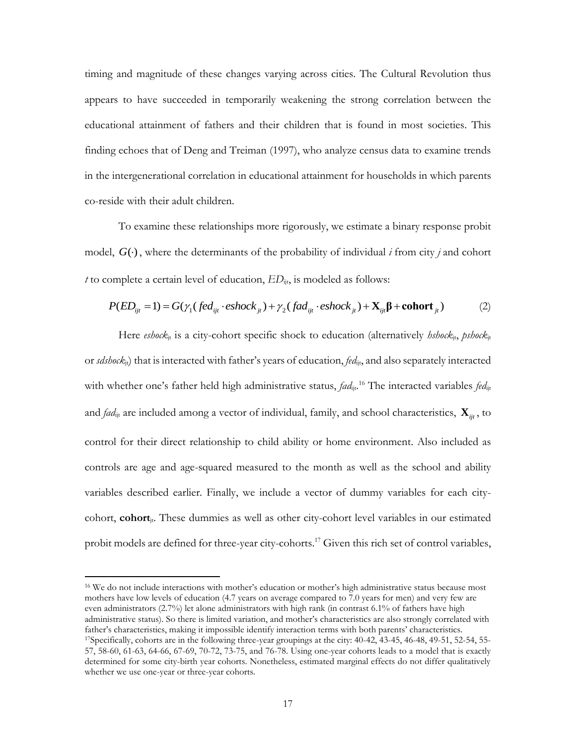timing and magnitude of these changes varying across cities. The Cultural Revolution thus appears to have succeeded in temporarily weakening the strong correlation between the educational attainment of fathers and their children that is found in most societies. This finding echoes that of Deng and Treiman (1997), who analyze census data to examine trends in the intergenerational correlation in educational attainment for households in which parents co-reside with their adult children.

To examine these relationships more rigorously, we estimate a binary response probit model, *G*() , where the determinants of the probability of individual *i* from city *j* and cohort *t* to complete a certain level of education, *ED*ijt, is modeled as follows: by properties a certain level of education,  $ED_{ijt}$ , is modeled as follows:<br>  $P(ED_{ijt} = 1) = G(\gamma_1 (fed_{ijt} \cdot eshock_{jt}) + \gamma_2 (fad_{ijt} \cdot eshock_{jt}) + \mathbf{X}_{ijt} \boldsymbol{\beta} + \text{cohort}_{jt})$  (2)

$$
P(ED_{ijt} = 1) = G(\gamma_1 (fed_{ijt} \cdot eshock_{jt}) + \gamma_2 (fad_{ijt} \cdot eshock_{jt}) + \mathbf{X}_{ijt} \mathbf{\beta} + \mathbf{cohort}_{jt})
$$
 (2)

Here *eshock*<sub>it</sub> is a city-cohort specific shock to education (alternatively *hshock*<sub>it</sub>, *pshock*<sub>it</sub> or *sdshock*jt) that is interacted with father's years of education, *fed*ijt, and also separately interacted with whether one's father held high administrative status, *fad*<sub>ij</sub>, <sup>16</sup> The interacted variables *fed*<sub>ijt</sub> and *fad*<sub>ijt</sub> are included among a vector of individual, family, and school characteristics,  $\mathbf{X}_{ijt}$ , to control for their direct relationship to child ability or home environment. Also included as controls are age and age-squared measured to the month as well as the school and ability variables described earlier. Finally, we include a vector of dummy variables for each citycohort, **cohort**jt. These dummies as well as other city-cohort level variables in our estimated probit models are defined for three-year city-cohorts.<sup>17</sup> Given this rich set of control variables,

<sup>16</sup> We do not include interactions with mother's education or mother's high administrative status because most mothers have low levels of education (4.7 years on average compared to 7.0 years for men) and very few are even administrators (2.7%) let alone administrators with high rank (in contrast 6.1% of fathers have high administrative status). So there is limited variation, and mother's characteristics are also strongly correlated with father's characteristics, making it impossible identify interaction terms with both parents' characteristics. <sup>17</sup>Specifically, cohorts are in the following three-year groupings at the city: 40-42, 43-45, 46-48, 49-51, 52-54, 55- 57, 58-60, 61-63, 64-66, 67-69, 70-72, 73-75, and 76-78. Using one-year cohorts leads to a model that is exactly

determined for some city-birth year cohorts. Nonetheless, estimated marginal effects do not differ qualitatively whether we use one-year or three-year cohorts.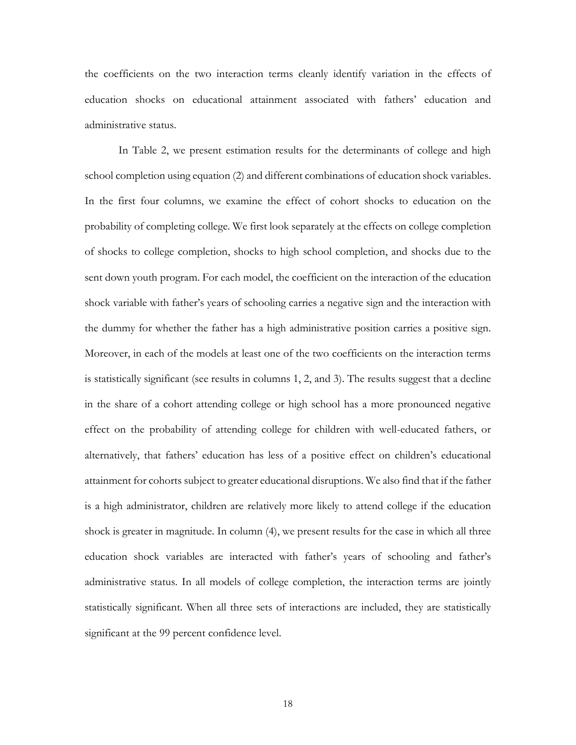the coefficients on the two interaction terms cleanly identify variation in the effects of education shocks on educational attainment associated with fathers' education and administrative status.

In Table 2, we present estimation results for the determinants of college and high school completion using equation (2) and different combinations of education shock variables. In the first four columns, we examine the effect of cohort shocks to education on the probability of completing college. We first look separately at the effects on college completion of shocks to college completion, shocks to high school completion, and shocks due to the sent down youth program. For each model, the coefficient on the interaction of the education shock variable with father's years of schooling carries a negative sign and the interaction with the dummy for whether the father has a high administrative position carries a positive sign. Moreover, in each of the models at least one of the two coefficients on the interaction terms is statistically significant (see results in columns 1, 2, and 3). The results suggest that a decline in the share of a cohort attending college or high school has a more pronounced negative effect on the probability of attending college for children with well-educated fathers, or alternatively, that fathers' education has less of a positive effect on children's educational attainment for cohorts subject to greater educational disruptions. We also find that if the father is a high administrator, children are relatively more likely to attend college if the education shock is greater in magnitude. In column (4), we present results for the case in which all three education shock variables are interacted with father's years of schooling and father's administrative status. In all models of college completion, the interaction terms are jointly statistically significant. When all three sets of interactions are included, they are statistically significant at the 99 percent confidence level.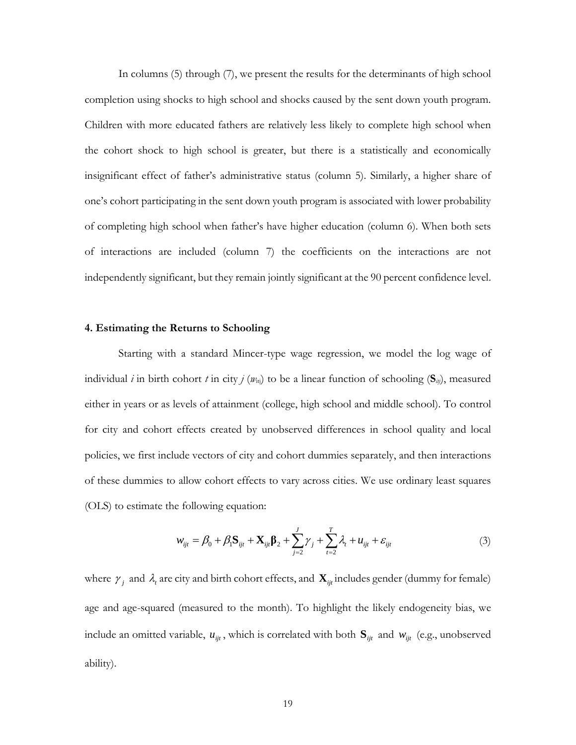In columns (5) through (7), we present the results for the determinants of high school completion using shocks to high school and shocks caused by the sent down youth program. Children with more educated fathers are relatively less likely to complete high school when the cohort shock to high school is greater, but there is a statistically and economically insignificant effect of father's administrative status (column 5). Similarly, a higher share of one's cohort participating in the sent down youth program is associated with lower probability of completing high school when father's have higher education (column 6). When both sets of interactions are included (column 7) the coefficients on the interactions are not independently significant, but they remain jointly significant at the 90 percent confidence level.

#### **4. Estimating the Returns to Schooling**

Starting with a standard Mincer-type wage regression, we model the log wage of individual *i* in birth cohort *t* in city *j* ( $w_{\text{tri}}$ ) to be a linear function of schooling ( $S_{iij}$ ), measured either in years or as levels of attainment (college, high school and middle school). To control for city and cohort effects created by unobserved differences in school quality and local policies, we first include vectors of city and cohort dummies separately, and then interactions of these dummies to allow cohort effects to vary across cities. We use ordinary least squares (OLS) to estimate the following equation:

e following equation:  
\n
$$
w_{ijt} = \beta_0 + \beta_1 \mathbf{S}_{ijt} + \mathbf{X}_{ijt} \mathbf{\beta}_2 + \sum_{j=2}^{J} \gamma_j + \sum_{t=2}^{T} \lambda_t + u_{ijt} + \varepsilon_{ijt}
$$
\n(3)

where  $\gamma_i$  and  $\lambda_i$  are city and birth cohort effects, and  $\mathbf{X}_{ijt}$  includes gender (dummy for female) age and age-squared (measured to the month). To highlight the likely endogeneity bias, we include an omitted variable,  $u_{ijt}$ , which is correlated with both  $S_{ijt}$  and  $w_{ijt}$  (e.g., unobserved ability).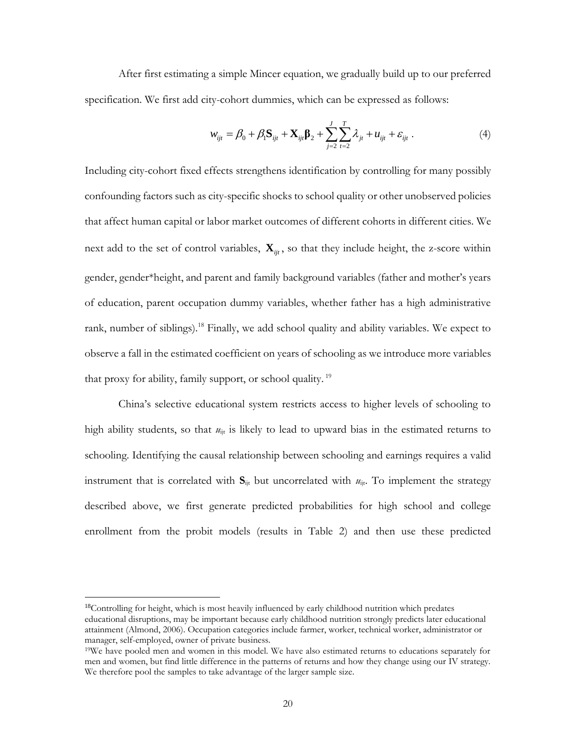After first estimating a simple Mincer equation, we gradually build up to our preferred

specification. We first add city-cohort dummies, which can be expressed as follows:  
\n
$$
w_{ijt} = \beta_0 + \beta_1 \mathbf{S}_{ijt} + \mathbf{X}_{ijt} \mathbf{B}_2 + \sum_{j=2}^{J} \sum_{t=2}^{T} \lambda_{jt} + u_{ijt} + \varepsilon_{ijt}.
$$
\n(4)

Including city-cohort fixed effects strengthens identification by controlling for many possibly confounding factors such as city-specific shocks to school quality or other unobserved policies that affect human capital or labor market outcomes of different cohorts in different cities. We next add to the set of control variables,  $\mathbf{X}_{ijt}$ , so that they include height, the z-score within gender, gender\*height, and parent and family background variables (father and mother's years of education, parent occupation dummy variables, whether father has a high administrative rank, number of siblings).<sup>18</sup> Finally, we add school quality and ability variables. We expect to observe a fall in the estimated coefficient on years of schooling as we introduce more variables that proxy for ability, family support, or school quality.<sup>19</sup>

China's selective educational system restricts access to higher levels of schooling to high ability students, so that  $u_{\text{it}}$  is likely to lead to upward bias in the estimated returns to schooling. Identifying the causal relationship between schooling and earnings requires a valid instrument that is correlated with  $S_{ijt}$  but uncorrelated with  $u_{ijt}$ . To implement the strategy described above, we first generate predicted probabilities for high school and college enrollment from the probit models (results in Table 2) and then use these predicted

<sup>&</sup>lt;sup>18</sup>Controlling for height, which is most heavily influenced by early childhood nutrition which predates educational disruptions, may be important because early childhood nutrition strongly predicts later educational attainment (Almond, 2006). Occupation categories include farmer, worker, technical worker, administrator or manager, self-employed, owner of private business.

<sup>19</sup>We have pooled men and women in this model. We have also estimated returns to educations separately for men and women, but find little difference in the patterns of returns and how they change using our IV strategy. We therefore pool the samples to take advantage of the larger sample size.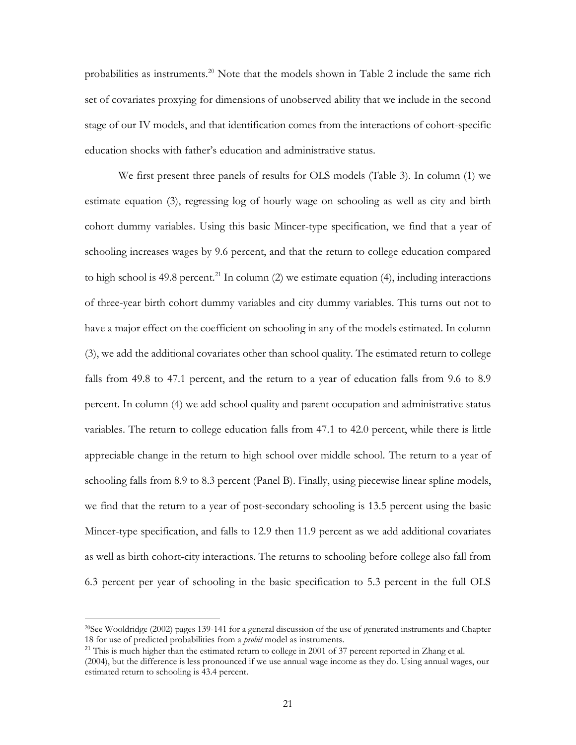probabilities as instruments.<sup>20</sup> Note that the models shown in Table 2 include the same rich set of covariates proxying for dimensions of unobserved ability that we include in the second stage of our IV models, and that identification comes from the interactions of cohort-specific education shocks with father's education and administrative status.

We first present three panels of results for OLS models (Table 3). In column (1) we estimate equation (3), regressing log of hourly wage on schooling as well as city and birth cohort dummy variables. Using this basic Mincer-type specification, we find that a year of schooling increases wages by 9.6 percent, and that the return to college education compared to high school is 49.8 percent.<sup>21</sup> In column (2) we estimate equation (4), including interactions of three-year birth cohort dummy variables and city dummy variables. This turns out not to have a major effect on the coefficient on schooling in any of the models estimated. In column (3), we add the additional covariates other than school quality. The estimated return to college falls from 49.8 to 47.1 percent, and the return to a year of education falls from 9.6 to 8.9 percent. In column (4) we add school quality and parent occupation and administrative status variables. The return to college education falls from 47.1 to 42.0 percent, while there is little appreciable change in the return to high school over middle school. The return to a year of schooling falls from 8.9 to 8.3 percent (Panel B). Finally, using piecewise linear spline models, we find that the return to a year of post-secondary schooling is 13.5 percent using the basic Mincer-type specification, and falls to 12.9 then 11.9 percent as we add additional covariates as well as birth cohort-city interactions. The returns to schooling before college also fall from 6.3 percent per year of schooling in the basic specification to 5.3 percent in the full OLS

<sup>20</sup>See Wooldridge (2002) pages 139-141 for a general discussion of the use of generated instruments and Chapter 18 for use of predicted probabilities from a *probit* model as instruments.

<sup>&</sup>lt;sup>21</sup> This is much higher than the estimated return to college in 2001 of 37 percent reported in Zhang et al. (2004), but the difference is less pronounced if we use annual wage income as they do. Using annual wages, our estimated return to schooling is 43.4 percent.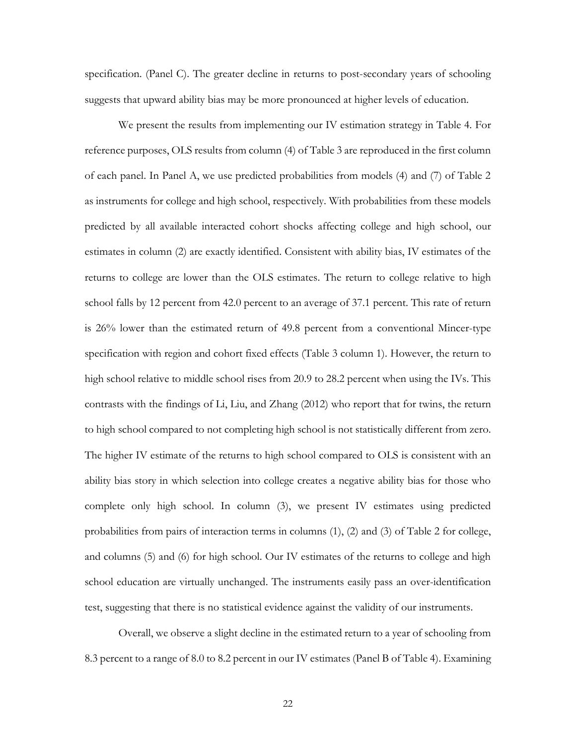specification. (Panel C). The greater decline in returns to post-secondary years of schooling suggests that upward ability bias may be more pronounced at higher levels of education.

We present the results from implementing our IV estimation strategy in Table 4. For reference purposes, OLS results from column (4) of Table 3 are reproduced in the first column of each panel. In Panel A, we use predicted probabilities from models (4) and (7) of Table 2 as instruments for college and high school, respectively. With probabilities from these models predicted by all available interacted cohort shocks affecting college and high school, our estimates in column (2) are exactly identified. Consistent with ability bias, IV estimates of the returns to college are lower than the OLS estimates. The return to college relative to high school falls by 12 percent from 42.0 percent to an average of 37.1 percent. This rate of return is 26% lower than the estimated return of 49.8 percent from a conventional Mincer-type specification with region and cohort fixed effects (Table 3 column 1). However, the return to high school relative to middle school rises from 20.9 to 28.2 percent when using the IVs. This contrasts with the findings of Li, Liu, and Zhang (2012) who report that for twins, the return to high school compared to not completing high school is not statistically different from zero. The higher IV estimate of the returns to high school compared to OLS is consistent with an ability bias story in which selection into college creates a negative ability bias for those who complete only high school. In column (3), we present IV estimates using predicted probabilities from pairs of interaction terms in columns (1), (2) and (3) of Table 2 for college, and columns (5) and (6) for high school. Our IV estimates of the returns to college and high school education are virtually unchanged. The instruments easily pass an over-identification test, suggesting that there is no statistical evidence against the validity of our instruments.

Overall, we observe a slight decline in the estimated return to a year of schooling from 8.3 percent to a range of 8.0 to 8.2 percent in our IV estimates (Panel B of Table 4). Examining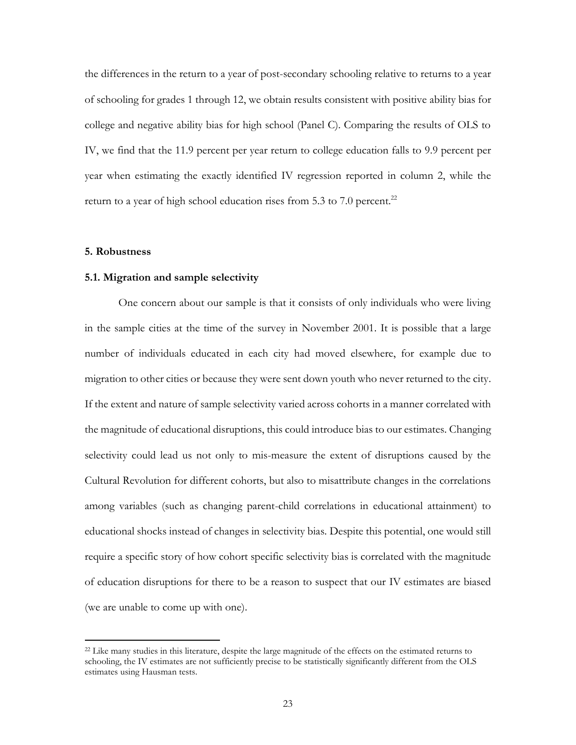the differences in the return to a year of post-secondary schooling relative to returns to a year of schooling for grades 1 through 12, we obtain results consistent with positive ability bias for college and negative ability bias for high school (Panel C). Comparing the results of OLS to IV, we find that the 11.9 percent per year return to college education falls to 9.9 percent per year when estimating the exactly identified IV regression reported in column 2, while the return to a year of high school education rises from 5.3 to 7.0 percent.<sup>22</sup>

#### **5. Robustness**

 $\overline{a}$ 

#### **5.1. Migration and sample selectivity**

One concern about our sample is that it consists of only individuals who were living in the sample cities at the time of the survey in November 2001. It is possible that a large number of individuals educated in each city had moved elsewhere, for example due to migration to other cities or because they were sent down youth who never returned to the city. If the extent and nature of sample selectivity varied across cohorts in a manner correlated with the magnitude of educational disruptions, this could introduce bias to our estimates. Changing selectivity could lead us not only to mis-measure the extent of disruptions caused by the Cultural Revolution for different cohorts, but also to misattribute changes in the correlations among variables (such as changing parent-child correlations in educational attainment) to educational shocks instead of changes in selectivity bias. Despite this potential, one would still require a specific story of how cohort specific selectivity bias is correlated with the magnitude of education disruptions for there to be a reason to suspect that our IV estimates are biased (we are unable to come up with one).

<sup>&</sup>lt;sup>22</sup> Like many studies in this literature, despite the large magnitude of the effects on the estimated returns to schooling, the IV estimates are not sufficiently precise to be statistically significantly different from the OLS estimates using Hausman tests.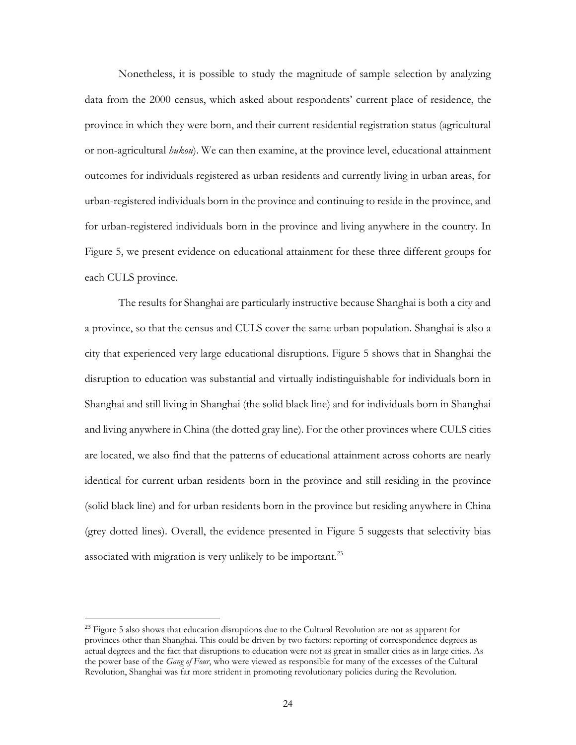Nonetheless, it is possible to study the magnitude of sample selection by analyzing data from the 2000 census, which asked about respondents' current place of residence, the province in which they were born, and their current residential registration status (agricultural or non-agricultural *hukou*). We can then examine, at the province level, educational attainment outcomes for individuals registered as urban residents and currently living in urban areas, for urban-registered individuals born in the province and continuing to reside in the province, and for urban-registered individuals born in the province and living anywhere in the country. In Figure 5, we present evidence on educational attainment for these three different groups for each CULS province.

The results for Shanghai are particularly instructive because Shanghai is both a city and a province, so that the census and CULS cover the same urban population. Shanghai is also a city that experienced very large educational disruptions. Figure 5 shows that in Shanghai the disruption to education was substantial and virtually indistinguishable for individuals born in Shanghai and still living in Shanghai (the solid black line) and for individuals born in Shanghai and living anywhere in China (the dotted gray line). For the other provinces where CULS cities are located, we also find that the patterns of educational attainment across cohorts are nearly identical for current urban residents born in the province and still residing in the province (solid black line) and for urban residents born in the province but residing anywhere in China (grey dotted lines). Overall, the evidence presented in Figure 5 suggests that selectivity bias associated with migration is very unlikely to be important.<sup>23</sup>

 $^{23}$  Figure 5 also shows that education disruptions due to the Cultural Revolution are not as apparent for provinces other than Shanghai. This could be driven by two factors: reporting of correspondence degrees as actual degrees and the fact that disruptions to education were not as great in smaller cities as in large cities. As the power base of the *Gang of Four*, who were viewed as responsible for many of the excesses of the Cultural Revolution, Shanghai was far more strident in promoting revolutionary policies during the Revolution.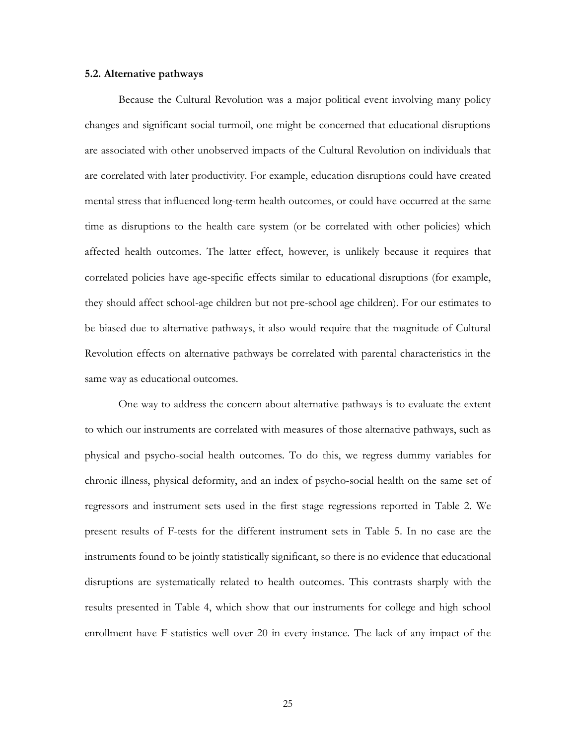#### **5.2. Alternative pathways**

Because the Cultural Revolution was a major political event involving many policy changes and significant social turmoil, one might be concerned that educational disruptions are associated with other unobserved impacts of the Cultural Revolution on individuals that are correlated with later productivity. For example, education disruptions could have created mental stress that influenced long-term health outcomes, or could have occurred at the same time as disruptions to the health care system (or be correlated with other policies) which affected health outcomes. The latter effect, however, is unlikely because it requires that correlated policies have age-specific effects similar to educational disruptions (for example, they should affect school-age children but not pre-school age children). For our estimates to be biased due to alternative pathways, it also would require that the magnitude of Cultural Revolution effects on alternative pathways be correlated with parental characteristics in the same way as educational outcomes.

One way to address the concern about alternative pathways is to evaluate the extent to which our instruments are correlated with measures of those alternative pathways, such as physical and psycho-social health outcomes. To do this, we regress dummy variables for chronic illness, physical deformity, and an index of psycho-social health on the same set of regressors and instrument sets used in the first stage regressions reported in Table 2. We present results of F-tests for the different instrument sets in Table 5. In no case are the instruments found to be jointly statistically significant, so there is no evidence that educational disruptions are systematically related to health outcomes. This contrasts sharply with the results presented in Table 4, which show that our instruments for college and high school enrollment have F-statistics well over 20 in every instance. The lack of any impact of the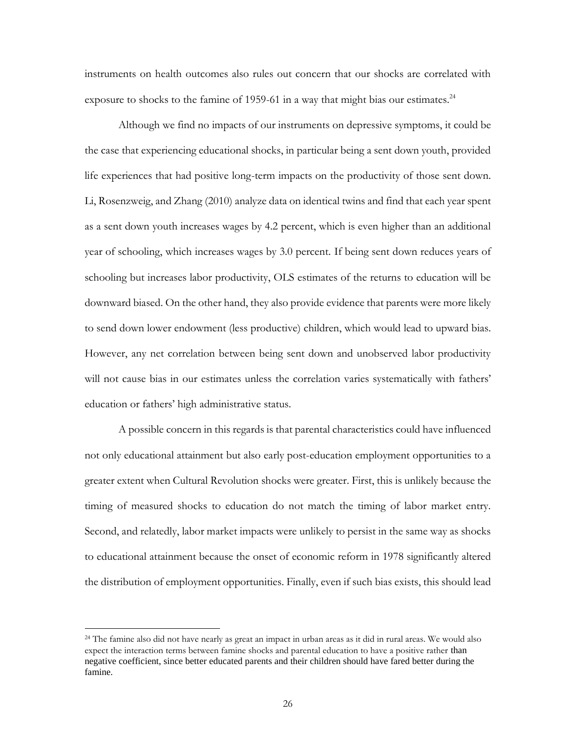instruments on health outcomes also rules out concern that our shocks are correlated with exposure to shocks to the famine of 1959-61 in a way that might bias our estimates.<sup>24</sup>

Although we find no impacts of our instruments on depressive symptoms, it could be the case that experiencing educational shocks, in particular being a sent down youth, provided life experiences that had positive long-term impacts on the productivity of those sent down. Li, Rosenzweig, and Zhang (2010) analyze data on identical twins and find that each year spent as a sent down youth increases wages by 4.2 percent, which is even higher than an additional year of schooling, which increases wages by 3.0 percent. If being sent down reduces years of schooling but increases labor productivity, OLS estimates of the returns to education will be downward biased. On the other hand, they also provide evidence that parents were more likely to send down lower endowment (less productive) children, which would lead to upward bias. However, any net correlation between being sent down and unobserved labor productivity will not cause bias in our estimates unless the correlation varies systematically with fathers' education or fathers' high administrative status.

A possible concern in this regards is that parental characteristics could have influenced not only educational attainment but also early post-education employment opportunities to a greater extent when Cultural Revolution shocks were greater. First, this is unlikely because the timing of measured shocks to education do not match the timing of labor market entry. Second, and relatedly, labor market impacts were unlikely to persist in the same way as shocks to educational attainment because the onset of economic reform in 1978 significantly altered the distribution of employment opportunities. Finally, even if such bias exists, this should lead

<sup>&</sup>lt;sup>24</sup> The famine also did not have nearly as great an impact in urban areas as it did in rural areas. We would also expect the interaction terms between famine shocks and parental education to have a positive rather than negative coefficient, since better educated parents and their children should have fared better during the famine.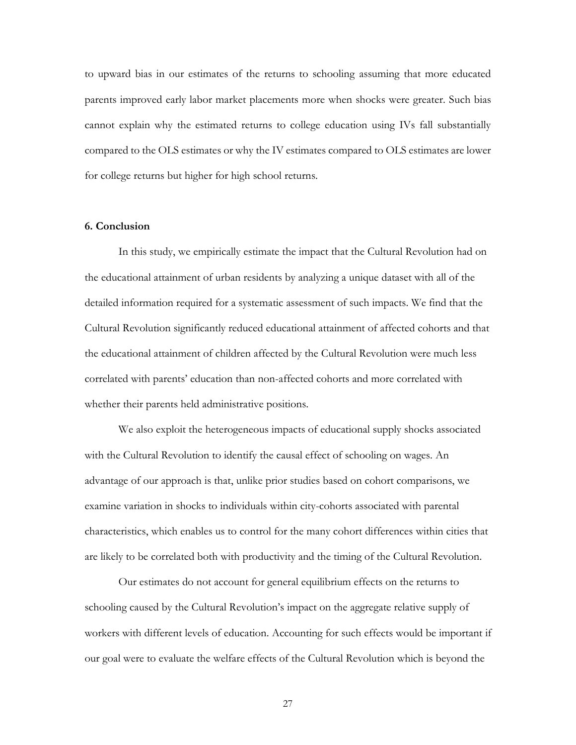to upward bias in our estimates of the returns to schooling assuming that more educated parents improved early labor market placements more when shocks were greater. Such bias cannot explain why the estimated returns to college education using IVs fall substantially compared to the OLS estimates or why the IV estimates compared to OLS estimates are lower for college returns but higher for high school returns.

#### **6. Conclusion**

In this study, we empirically estimate the impact that the Cultural Revolution had on the educational attainment of urban residents by analyzing a unique dataset with all of the detailed information required for a systematic assessment of such impacts. We find that the Cultural Revolution significantly reduced educational attainment of affected cohorts and that the educational attainment of children affected by the Cultural Revolution were much less correlated with parents' education than non-affected cohorts and more correlated with whether their parents held administrative positions.

We also exploit the heterogeneous impacts of educational supply shocks associated with the Cultural Revolution to identify the causal effect of schooling on wages. An advantage of our approach is that, unlike prior studies based on cohort comparisons, we examine variation in shocks to individuals within city-cohorts associated with parental characteristics, which enables us to control for the many cohort differences within cities that are likely to be correlated both with productivity and the timing of the Cultural Revolution.

Our estimates do not account for general equilibrium effects on the returns to schooling caused by the Cultural Revolution's impact on the aggregate relative supply of workers with different levels of education. Accounting for such effects would be important if our goal were to evaluate the welfare effects of the Cultural Revolution which is beyond the

27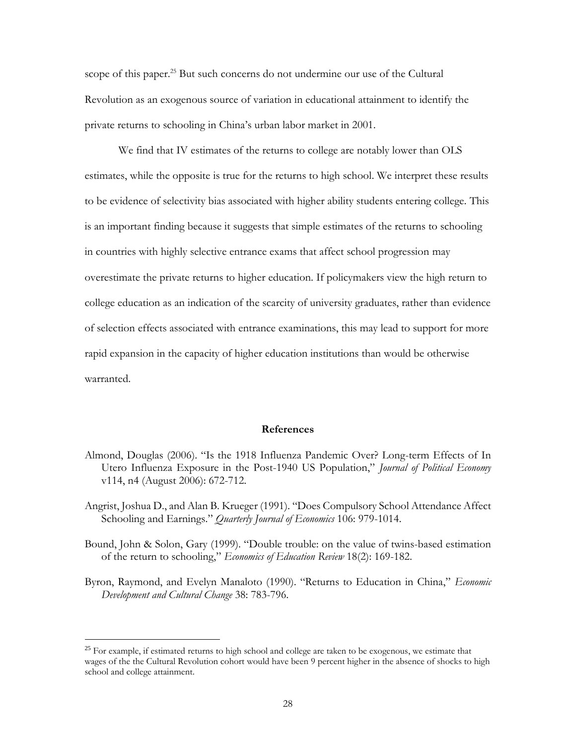scope of this paper.<sup>25</sup> But such concerns do not undermine our use of the Cultural Revolution as an exogenous source of variation in educational attainment to identify the private returns to schooling in China's urban labor market in 2001.

We find that IV estimates of the returns to college are notably lower than OLS estimates, while the opposite is true for the returns to high school. We interpret these results to be evidence of selectivity bias associated with higher ability students entering college. This is an important finding because it suggests that simple estimates of the returns to schooling in countries with highly selective entrance exams that affect school progression may overestimate the private returns to higher education. If policymakers view the high return to college education as an indication of the scarcity of university graduates, rather than evidence of selection effects associated with entrance examinations, this may lead to support for more rapid expansion in the capacity of higher education institutions than would be otherwise warranted.

#### **References**

Almond, Douglas (2006). "Is the 1918 Influenza Pandemic Over? Long-term Effects of In Utero Influenza Exposure in the Post-1940 US Population," *Journal of Political Economy* v114, n4 (August 2006): 672-712.

Angrist, Joshua D., and Alan B. Krueger (1991). "Does Compulsory School Attendance Affect Schooling and Earnings." *Quarterly Journal of Economics* 106: 979-1014.

- Bound, John & Solon, Gary (1999). "Double trouble: on the value of twins-based estimation of the return to schooling," *Economics of Education Review* 18(2): 169-182.
- Byron, Raymond, and Evelyn Manaloto (1990). "Returns to Education in China," *Economic Development and Cultural Change* 38: 783-796.

<sup>&</sup>lt;sup>25</sup> For example, if estimated returns to high school and college are taken to be exogenous, we estimate that wages of the the Cultural Revolution cohort would have been 9 percent higher in the absence of shocks to high school and college attainment.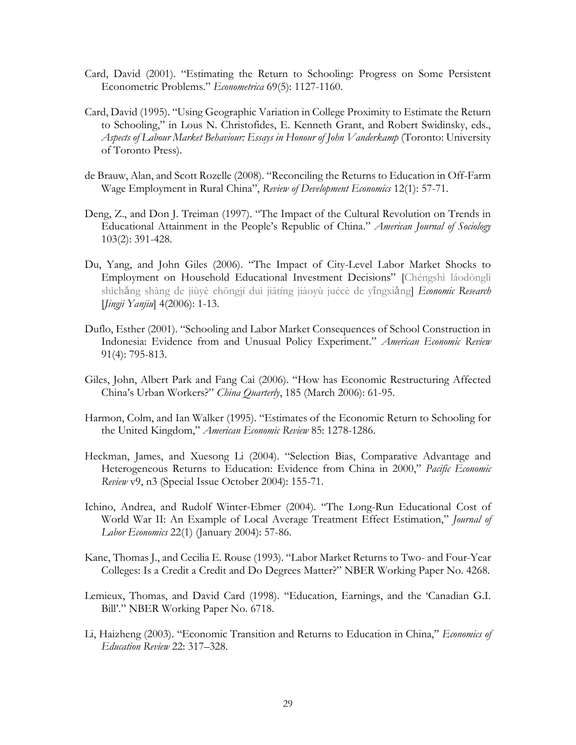- Card, David (2001). "Estimating the Return to Schooling: Progress on Some Persistent Econometric Problems." *Econometrica* 69(5): 1127-1160.
- Card, David (1995). "Using Geographic Variation in College Proximity to Estimate the Return to Schooling," in Lous N. Christofides, E. Kenneth Grant, and Robert Swidinsky, eds., *Aspects of Labour Market Behaviour: Essays in Honour of John Vanderkamp* (Toronto: University of Toronto Press).
- de Brauw, Alan, and Scott Rozelle (2008). "Reconciling the Returns to Education in Off-Farm Wage Employment in Rural China", *Review of Development Economics* 12(1): 57-71.
- Deng, Z., and Don J. Treiman (1997). "The Impact of the Cultural Revolution on Trends in Educational Attainment in the People's Republic of China." *American Journal of Sociology* 103(2): 391-428.
- Du, Yang, and John Giles (2006). "The Impact of City-Level Labor Market Shocks to Employment on Household Educational Investment Decisions" [Chéngshì láodònglì shìchǎng shàng de jiùyè chōngjí duì jiātíng jiàoyù juécè de yǐngxiǎng] *Economic Research* [*Jingji Yanjiu*] 4(2006): 1-13.
- Duflo, Esther (2001). "Schooling and Labor Market Consequences of School Construction in Indonesia: Evidence from and Unusual Policy Experiment." *American Economic Review* 91(4): 795-813.
- Giles, John, Albert Park and Fang Cai (2006). "How has Economic Restructuring Affected China's Urban Workers?" *China Quarterly*, 185 (March 2006): 61-95.
- Harmon, Colm, and Ian Walker (1995). "Estimates of the Economic Return to Schooling for the United Kingdom," *American Economic Review* 85: 1278-1286.
- Heckman, James, and Xuesong Li (2004). "Selection Bias, Comparative Advantage and Heterogeneous Returns to Education: Evidence from China in 2000," *Pacific Economic Review* v9, n3 (Special Issue October 2004): 155-71.
- Ichino, Andrea, and Rudolf Winter-Ebmer (2004). "The Long-Run Educational Cost of World War II: An Example of Local Average Treatment Effect Estimation," *Journal of Labor Economics* 22(1) (January 2004): 57-86.
- Kane, Thomas J., and Cecilia E. Rouse (1993). "Labor Market Returns to Two- and Four-Year Colleges: Is a Credit a Credit and Do Degrees Matter?" NBER Working Paper No. 4268.
- Lemieux, Thomas, and David Card (1998). "Education, Earnings, and the 'Canadian G.I. Bill'." NBER Working Paper No. 6718.
- Li, Haizheng (2003). "Economic Transition and Returns to Education in China," *Economics of Education Review* 22: 317–328.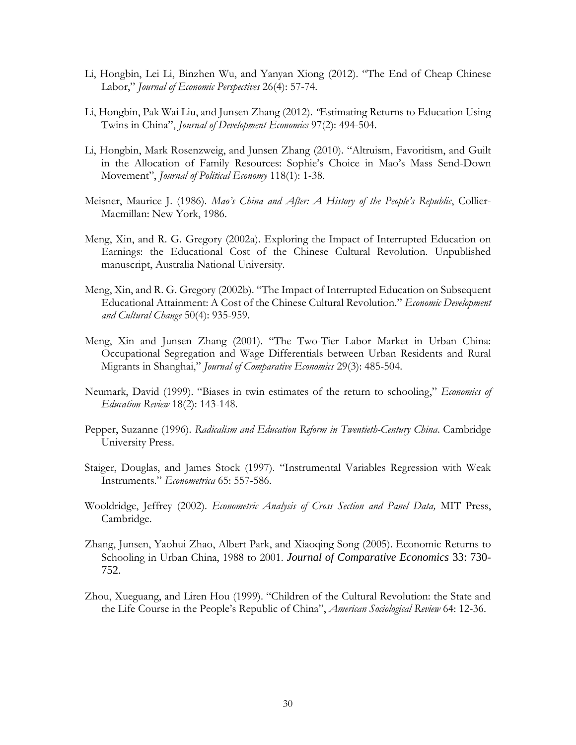- Li, Hongbin, Lei Li, Binzhen Wu, and Yanyan Xiong (2012). "The End of Cheap Chinese Labor," *Journal of Economic Perspectives* 26(4): 57-74.
- Li, Hongbin, Pak Wai Liu, and Junsen Zhang (2012). *"*Estimating Returns to Education Using Twins in China", *Journal of Development Economics* 97(2): 494-504.
- Li, Hongbin, Mark Rosenzweig, and Junsen Zhang (2010). "Altruism, Favoritism, and Guilt in the Allocation of Family Resources: Sophie's Choice in Mao's Mass Send-Down Movement", *Journal of Political Economy* 118(1): 1-38.
- Meisner, Maurice J. (1986). *Mao's China and After: A History of the People's Republic*, Collier-Macmillan: New York, 1986.
- Meng, Xin, and R. G. Gregory (2002a). Exploring the Impact of Interrupted Education on Earnings: the Educational Cost of the Chinese Cultural Revolution. Unpublished manuscript, Australia National University.
- Meng, Xin, and R. G. Gregory (2002b). "The Impact of Interrupted Education on Subsequent Educational Attainment: A Cost of the Chinese Cultural Revolution." *Economic Development and Cultural Change* 50(4): 935-959.
- Meng, Xin and Junsen Zhang (2001). "The Two-Tier Labor Market in Urban China: Occupational Segregation and Wage Differentials between Urban Residents and Rural Migrants in Shanghai," *Journal of Comparative Economics* 29(3): 485-504.
- Neumark, David (1999). "Biases in twin estimates of the return to schooling," *Economics of Education Review* 18(2): 143-148.
- Pepper, Suzanne (1996). *Radicalism and Education Reform in Twentieth-Century China*. Cambridge University Press.
- Staiger, Douglas, and James Stock (1997). "Instrumental Variables Regression with Weak Instruments." *Econometrica* 65: 557-586.
- Wooldridge, Jeffrey (2002). *Econometric Analysis of Cross Section and Panel Data,* MIT Press, Cambridge.
- Zhang, Junsen, Yaohui Zhao, Albert Park, and Xiaoqing Song (2005). Economic Returns to Schooling in Urban China, 1988 to 2001. *Journal of Comparative Economics* 33: 730- 752.
- Zhou, Xueguang, and Liren Hou (1999). "Children of the Cultural Revolution: the State and the Life Course in the People's Republic of China", *American Sociological Review* 64: 12-36.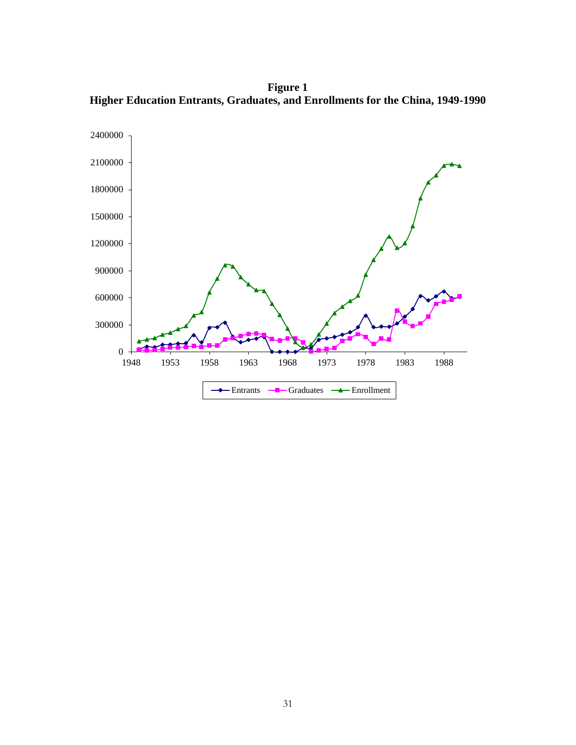**Figure 1 Higher Education Entrants, Graduates, and Enrollments for the China, 1949-1990**

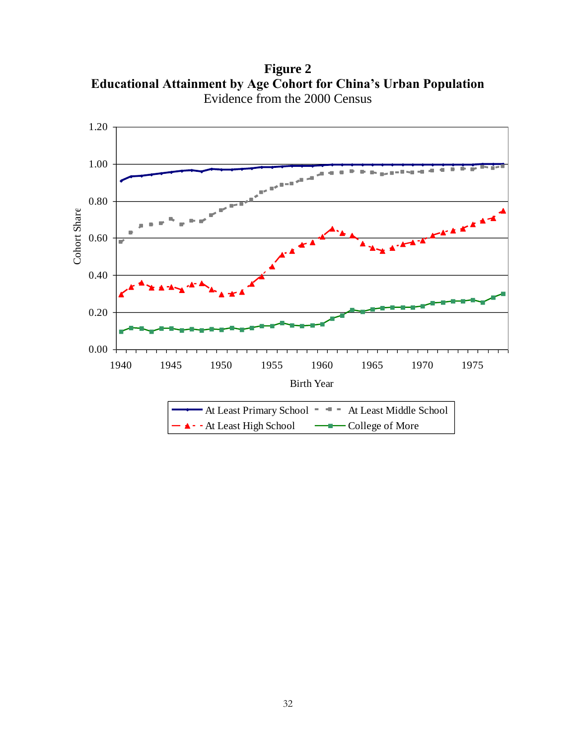**Figure 2 Educational Attainment by Age Cohort for China's Urban Population** Evidence from the 2000 Census

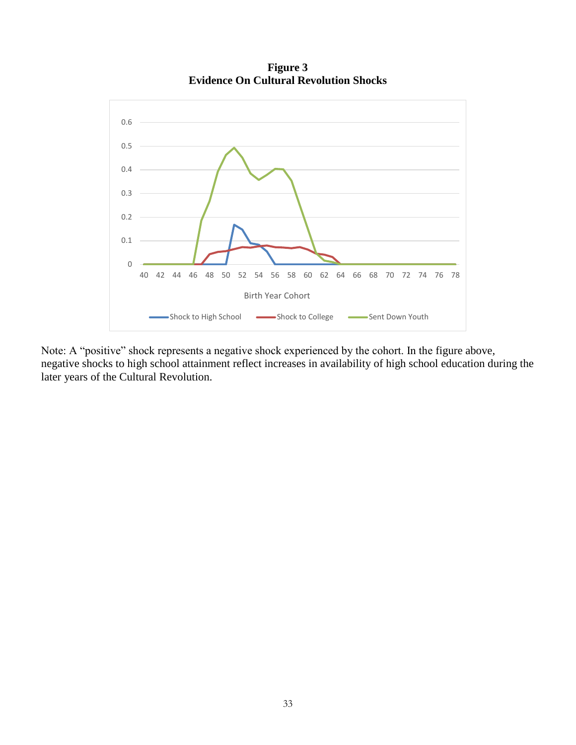

**Figure 3 Evidence On Cultural Revolution Shocks**

Note: A "positive" shock represents a negative shock experienced by the cohort. In the figure above, negative shocks to high school attainment reflect increases in availability of high school education during the later years of the Cultural Revolution.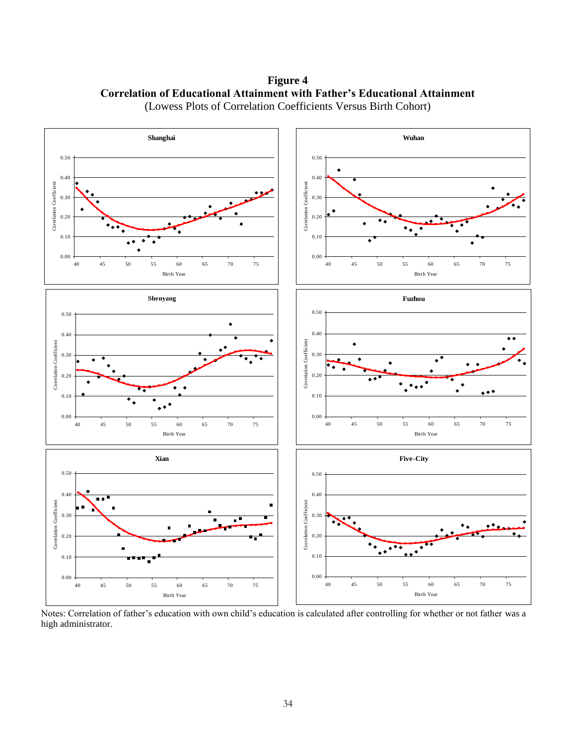**Figure 4 Correlation of Educational Attainment with Father's Educational Attainment** (Lowess Plots of Correlation Coefficients Versus Birth Cohort)



Notes: Correlation of father's education with own child's education is calculated after controlling for whether or not father was a high administrator.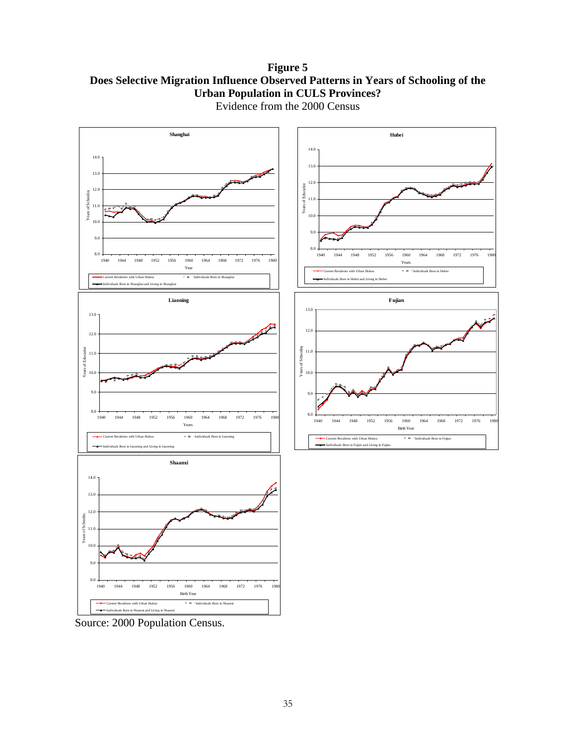**Figure 5 Does Selective Migration Influence Observed Patterns in Years of Schooling of the Urban Population in CULS Provinces?**



Evidence from the 2000 Census

Source: 2000 Population Census.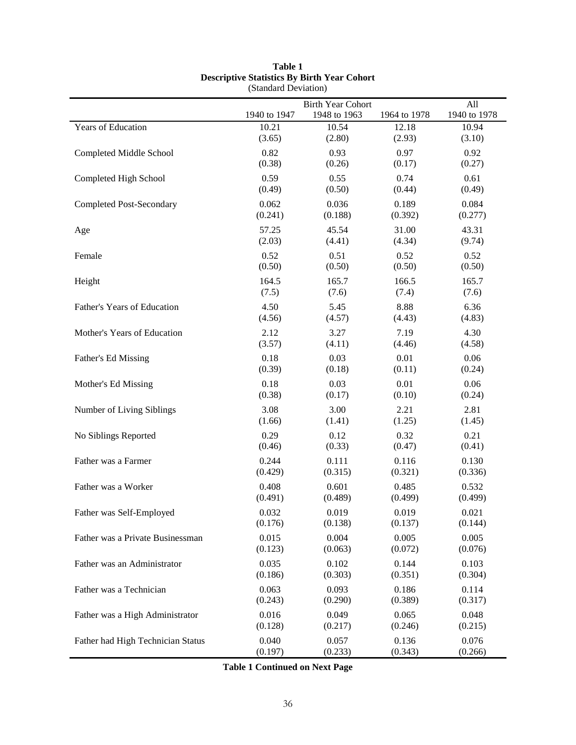|                                   |              | <b>Birth Year Cohort</b> |              | All          |
|-----------------------------------|--------------|--------------------------|--------------|--------------|
|                                   | 1940 to 1947 | 1948 to 1963             | 1964 to 1978 | 1940 to 1978 |
| Years of Education                | 10.21        | 10.54                    | 12.18        | 10.94        |
|                                   | (3.65)       | (2.80)                   | (2.93)       | (3.10)       |
| Completed Middle School           | 0.82         | 0.93                     | 0.97         | 0.92         |
|                                   | (0.38)       | (0.26)                   | (0.17)       | (0.27)       |
| Completed High School             | 0.59         | 0.55                     | 0.74         | 0.61         |
|                                   | (0.49)       | (0.50)                   | (0.44)       | (0.49)       |
| <b>Completed Post-Secondary</b>   | 0.062        | 0.036                    | 0.189        | 0.084        |
|                                   | (0.241)      | (0.188)                  | (0.392)      | (0.277)      |
| Age                               | 57.25        | 45.54                    | 31.00        | 43.31        |
|                                   | (2.03)       | (4.41)                   | (4.34)       | (9.74)       |
| Female                            | 0.52         | 0.51                     | 0.52         | 0.52         |
|                                   | (0.50)       | (0.50)                   | (0.50)       | (0.50)       |
| Height                            | 164.5        | 165.7                    | 166.5        | 165.7        |
|                                   | (7.5)        | (7.6)                    | (7.4)        | (7.6)        |
| Father's Years of Education       | 4.50         | 5.45                     | 8.88         | 6.36         |
|                                   | (4.56)       | (4.57)                   | (4.43)       | (4.83)       |
| Mother's Years of Education       | 2.12         | 3.27                     | 7.19         | 4.30         |
|                                   | (3.57)       | (4.11)                   | (4.46)       | (4.58)       |
| Father's Ed Missing               | 0.18         | 0.03                     | 0.01         | 0.06         |
|                                   | (0.39)       | (0.18)                   | (0.11)       | (0.24)       |
| Mother's Ed Missing               | 0.18         | 0.03                     | 0.01         | 0.06         |
|                                   | (0.38)       | (0.17)                   | (0.10)       | (0.24)       |
| Number of Living Siblings         | 3.08         | 3.00                     | 2.21         | 2.81         |
|                                   | (1.66)       | (1.41)                   | (1.25)       | (1.45)       |
| No Siblings Reported              | 0.29         | 0.12                     | 0.32         | 0.21         |
|                                   | (0.46)       | (0.33)                   | (0.47)       | (0.41)       |
| Father was a Farmer               | 0.244        | 0.111                    | 0.116        | 0.130        |
|                                   | (0.429)      | (0.315)                  | (0.321)      | (0.336)      |
| Father was a Worker               | 0.408        | 0.601                    | 0.485        | 0.532        |
|                                   | (0.491)      | (0.489)                  | (0.499)      | (0.499)      |
| Father was Self-Employed          | 0.032        | 0.019                    | 0.019        | 0.021        |
|                                   | (0.176)      | (0.138)                  | (0.137)      | (0.144)      |
| Father was a Private Businessman  | 0.015        | 0.004                    | 0.005        | 0.005        |
|                                   | (0.123)      | (0.063)                  | (0.072)      | (0.076)      |
| Father was an Administrator       | 0.035        | 0.102                    | 0.144        | 0.103        |
|                                   | (0.186)      | (0.303)                  | (0.351)      | (0.304)      |
| Father was a Technician           | 0.063        | 0.093                    | 0.186        | 0.114        |
|                                   | (0.243)      | (0.290)                  | (0.389)      | (0.317)      |
| Father was a High Administrator   | 0.016        | 0.049                    | 0.065        | 0.048        |
|                                   | (0.128)      | (0.217)                  | (0.246)      | (0.215)      |
| Father had High Technician Status | 0.040        | 0.057                    | 0.136        | 0.076        |
|                                   | (0.197)      | (0.233)                  | (0.343)      | (0.266)      |

#### **Table 1 Descriptive Statistics By Birth Year Cohort** (Standard Deviation)

**Table 1 Continued on Next Page**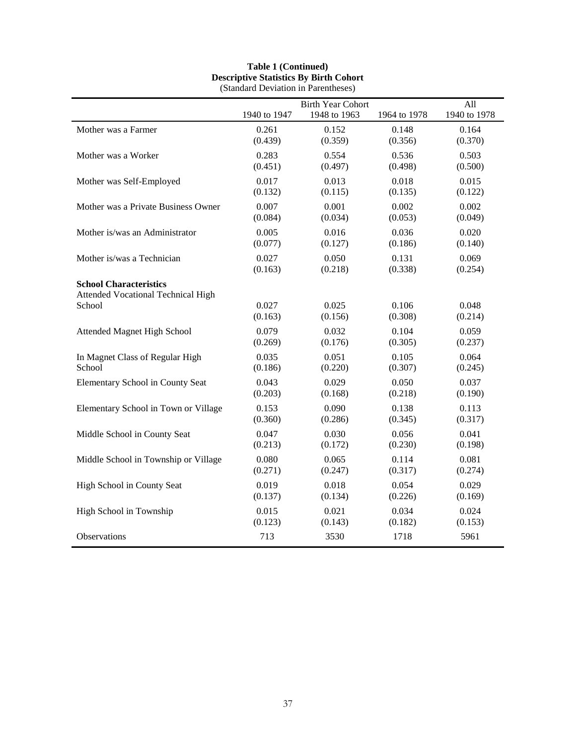|                                                                                      |                  | <b>Birth Year Cohort</b> |                  | All              |
|--------------------------------------------------------------------------------------|------------------|--------------------------|------------------|------------------|
|                                                                                      | 1940 to 1947     | 1948 to 1963             | 1964 to 1978     | 1940 to 1978     |
| Mother was a Farmer                                                                  | 0.261            | 0.152                    | 0.148            | 0.164            |
|                                                                                      | (0.439)          | (0.359)                  | (0.356)          | (0.370)          |
| Mother was a Worker                                                                  | 0.283            | 0.554                    | 0.536            | 0.503            |
|                                                                                      | (0.451)          | (0.497)                  | (0.498)          | (0.500)          |
| Mother was Self-Employed                                                             | 0.017            | 0.013                    | 0.018            | 0.015            |
|                                                                                      | (0.132)          | (0.115)                  | (0.135)          | (0.122)          |
| Mother was a Private Business Owner                                                  | 0.007            | 0.001                    | 0.002            | 0.002            |
|                                                                                      | (0.084)          | (0.034)                  | (0.053)          | (0.049)          |
| Mother is/was an Administrator                                                       | 0.005            | 0.016                    | 0.036            | 0.020            |
|                                                                                      | (0.077)          | (0.127)                  | (0.186)          | (0.140)          |
| Mother is/was a Technician                                                           | 0.027            | 0.050                    | 0.131            | 0.069            |
|                                                                                      | (0.163)          | (0.218)                  | (0.338)          | (0.254)          |
| <b>School Characteristics</b><br><b>Attended Vocational Technical High</b><br>School | 0.027<br>(0.163) | 0.025<br>(0.156)         | 0.106<br>(0.308) | 0.048<br>(0.214) |
| Attended Magnet High School                                                          | 0.079            | 0.032                    | 0.104            | 0.059            |
|                                                                                      | (0.269)          | (0.176)                  | (0.305)          | (0.237)          |
| In Magnet Class of Regular High                                                      | 0.035            | 0.051                    | 0.105            | 0.064            |
| School                                                                               | (0.186)          | (0.220)                  | (0.307)          | (0.245)          |
| Elementary School in County Seat                                                     | 0.043            | 0.029                    | 0.050            | 0.037            |
|                                                                                      | (0.203)          | (0.168)                  | (0.218)          | (0.190)          |
| Elementary School in Town or Village                                                 | 0.153            | 0.090                    | 0.138            | 0.113            |
|                                                                                      | (0.360)          | (0.286)                  | (0.345)          | (0.317)          |
| Middle School in County Seat                                                         | 0.047            | 0.030                    | 0.056            | 0.041            |
|                                                                                      | (0.213)          | (0.172)                  | (0.230)          | (0.198)          |
| Middle School in Township or Village                                                 | 0.080            | 0.065                    | 0.114            | 0.081            |
|                                                                                      | (0.271)          | (0.247)                  | (0.317)          | (0.274)          |
| High School in County Seat                                                           | 0.019            | 0.018                    | 0.054            | 0.029            |
|                                                                                      | (0.137)          | (0.134)                  | (0.226)          | (0.169)          |
| High School in Township                                                              | 0.015            | 0.021                    | 0.034            | 0.024            |
|                                                                                      | (0.123)          | (0.143)                  | (0.182)          | (0.153)          |
| Observations                                                                         | 713              | 3530                     | 1718             | 5961             |

#### **Table 1 (Continued) Descriptive Statistics By Birth Cohort** (Standard Deviation in Parentheses)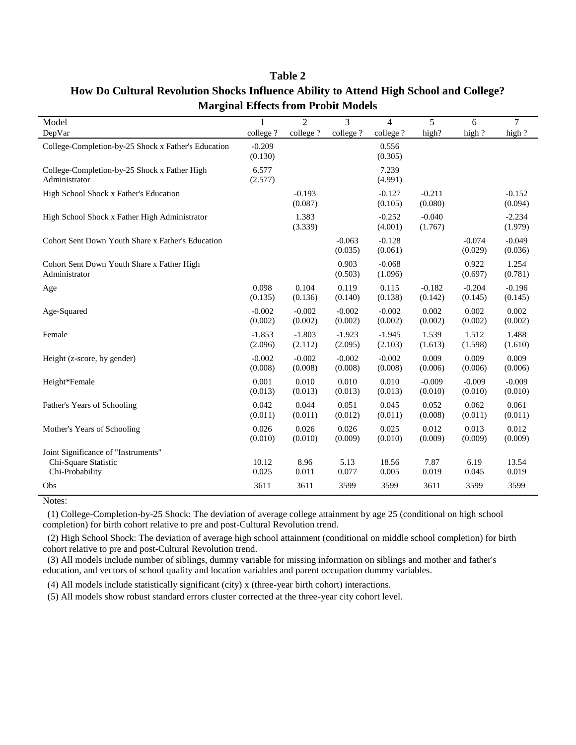| Model                                                                          | 1                   | $\overline{2}$      | 3                   | $\overline{\mathcal{L}}$ | 5                   | 6                   | $\overline{7}$      |
|--------------------------------------------------------------------------------|---------------------|---------------------|---------------------|--------------------------|---------------------|---------------------|---------------------|
| DepVar                                                                         | college?            | college?            | college?            | college?                 | high?               | high ?              | high ?              |
| College-Completion-by-25 Shock x Father's Education                            | $-0.209$<br>(0.130) |                     |                     | 0.556<br>(0.305)         |                     |                     |                     |
| College-Completion-by-25 Shock x Father High<br>Administrator                  | 6.577<br>(2.577)    |                     |                     | 7.239<br>(4.991)         |                     |                     |                     |
| High School Shock x Father's Education                                         |                     | $-0.193$<br>(0.087) |                     | $-0.127$<br>(0.105)      | $-0.211$<br>(0.080) |                     | $-0.152$<br>(0.094) |
| High School Shock x Father High Administrator                                  |                     | 1.383<br>(3.339)    |                     | $-0.252$<br>(4.001)      | $-0.040$<br>(1.767) |                     | $-2.234$<br>(1.979) |
| Cohort Sent Down Youth Share x Father's Education                              |                     |                     | $-0.063$<br>(0.035) | $-0.128$<br>(0.061)      |                     | $-0.074$<br>(0.029) | $-0.049$<br>(0.036) |
| Cohort Sent Down Youth Share x Father High<br>Administrator                    |                     |                     | 0.903<br>(0.503)    | $-0.068$<br>(1.096)      |                     | 0.922<br>(0.697)    | 1.254<br>(0.781)    |
| Age                                                                            | 0.098<br>(0.135)    | 0.104<br>(0.136)    | 0.119<br>(0.140)    | 0.115<br>(0.138)         | $-0.182$<br>(0.142) | $-0.204$<br>(0.145) | $-0.196$<br>(0.145) |
| Age-Squared                                                                    | $-0.002$<br>(0.002) | $-0.002$<br>(0.002) | $-0.002$<br>(0.002) | $-0.002$<br>(0.002)      | 0.002<br>(0.002)    | 0.002<br>(0.002)    | 0.002<br>(0.002)    |
| Female                                                                         | $-1.853$<br>(2.096) | $-1.803$<br>(2.112) | $-1.923$<br>(2.095) | $-1.945$<br>(2.103)      | 1.539<br>(1.613)    | 1.512<br>(1.598)    | 1.488<br>(1.610)    |
| Height (z-score, by gender)                                                    | $-0.002$<br>(0.008) | $-0.002$<br>(0.008) | $-0.002$<br>(0.008) | $-0.002$<br>(0.008)      | 0.009<br>(0.006)    | 0.009<br>(0.006)    | 0.009<br>(0.006)    |
| Height*Female                                                                  | 0.001<br>(0.013)    | 0.010<br>(0.013)    | 0.010<br>(0.013)    | 0.010<br>(0.013)         | $-0.009$<br>(0.010) | $-0.009$<br>(0.010) | $-0.009$<br>(0.010) |
| Father's Years of Schooling                                                    | 0.042<br>(0.011)    | 0.044<br>(0.011)    | 0.051<br>(0.012)    | 0.045<br>(0.011)         | 0.052<br>(0.008)    | 0.062<br>(0.011)    | 0.061<br>(0.011)    |
| Mother's Years of Schooling                                                    | 0.026<br>(0.010)    | 0.026<br>(0.010)    | 0.026<br>(0.009)    | 0.025<br>(0.010)         | 0.012<br>(0.009)    | 0.013<br>(0.009)    | 0.012<br>(0.009)    |
| Joint Significance of "Instruments"<br>Chi-Square Statistic<br>Chi-Probability | 10.12<br>0.025      | 8.96<br>0.011       | 5.13<br>0.077       | 18.56<br>0.005           | 7.87<br>0.019       | 6.19<br>0.045       | 13.54<br>0.019      |
| Obs                                                                            | 3611                | 3611                | 3599                | 3599                     | 3611                | 3599                | 3599                |

### **Table 2 How Do Cultural Revolution Shocks Influence Ability to Attend High School and College? Marginal Effects from Probit Models**

Notes:

l.

 (1) College-Completion-by-25 Shock: The deviation of average college attainment by age 25 (conditional on high school completion) for birth cohort relative to pre and post-Cultural Revolution trend.

 (2) High School Shock: The deviation of average high school attainment (conditional on middle school completion) for birth cohort relative to pre and post-Cultural Revolution trend.

 (3) All models include number of siblings, dummy variable for missing information on siblings and mother and father's education, and vectors of school quality and location variables and parent occupation dummy variables.

(4) All models include statistically significant (city) x (three-year birth cohort) interactions.

(5) All models show robust standard errors cluster corrected at the three-year city cohort level.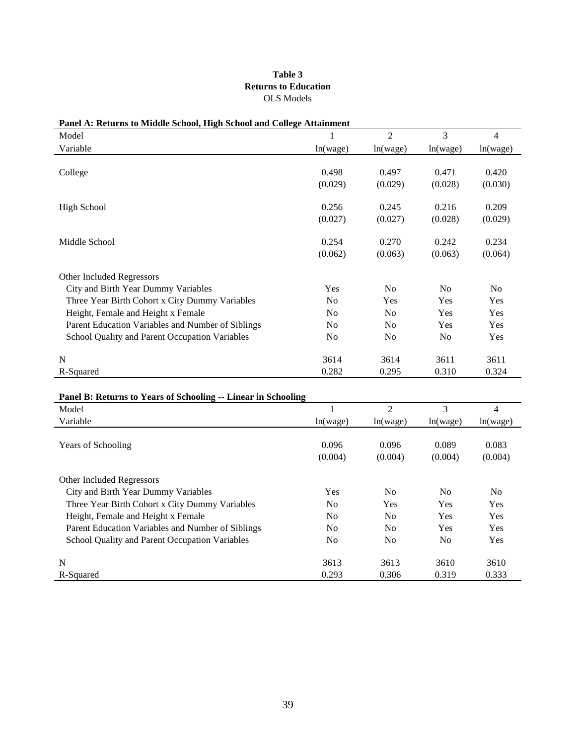#### **Table 3 Returns to Education** OLS Models

| Panel A: Returns to Middle School, High School and College Attainment<br>Model       |                | $\overline{2}$ | 3              | $\overline{4}$ |
|--------------------------------------------------------------------------------------|----------------|----------------|----------------|----------------|
| Variable                                                                             |                |                |                |                |
|                                                                                      | ln(wage)       | ln(wage)       | ln(wage)       | ln(wage)       |
| College                                                                              | 0.498          | 0.497          | 0.471          | 0.420          |
|                                                                                      | (0.029)        | (0.029)        | (0.028)        | (0.030)        |
|                                                                                      |                |                |                |                |
| <b>High School</b>                                                                   | 0.256          | 0.245          | 0.216          | 0.209          |
|                                                                                      | (0.027)        | (0.027)        | (0.028)        | (0.029)        |
| Middle School                                                                        | 0.254          | 0.270          | 0.242          | 0.234          |
|                                                                                      | (0.062)        | (0.063)        | (0.063)        | (0.064)        |
| Other Included Regressors                                                            |                |                |                |                |
| City and Birth Year Dummy Variables                                                  | Yes            | No             | N <sub>o</sub> | N <sub>o</sub> |
| Three Year Birth Cohort x City Dummy Variables                                       | N <sub>o</sub> | Yes            | Yes            | Yes            |
| Height, Female and Height x Female                                                   | N <sub>o</sub> | No             | Yes            | Yes            |
| Parent Education Variables and Number of Siblings                                    | N <sub>o</sub> | N <sub>o</sub> | Yes            | Yes            |
| School Quality and Parent Occupation Variables                                       | N <sub>o</sub> | No             | No             | Yes            |
| $\mathbf N$                                                                          | 3614           | 3614           | 3611           | 3611           |
| R-Squared                                                                            | 0.282          | 0.295          | 0.310          | 0.324          |
| Panel B: Returns to Years of Schooling -- Linear in Schooling                        |                |                |                |                |
| Model                                                                                | 1              | $\overline{2}$ | 3              | $\overline{4}$ |
| Variable                                                                             | ln(wage)       | ln(wage)       | ln(wage)       | ln(wage)       |
| Years of Schooling                                                                   | 0.096          | 0.096          | 0.089          | 0.083          |
|                                                                                      | (0.004)        | (0.004)        | (0.004)        | (0.004)        |
| Other Included Regressors                                                            |                |                |                |                |
| City and Birth Year Dummy Variables                                                  | Yes            | N <sub>o</sub> | N <sub>o</sub> | N <sub>o</sub> |
|                                                                                      | No             | Yes            | Yes            | Yes            |
|                                                                                      |                |                |                |                |
| Three Year Birth Cohort x City Dummy Variables<br>Height, Female and Height x Female | N <sub>o</sub> | N <sub>o</sub> | Yes            | Yes            |
| Parent Education Variables and Number of Siblings                                    | No             | No             | Yes            | Yes            |
| School Quality and Parent Occupation Variables                                       | N <sub>o</sub> | N <sub>o</sub> | No             | Yes            |

R-Squared 6.293 0.306 0.319 0.333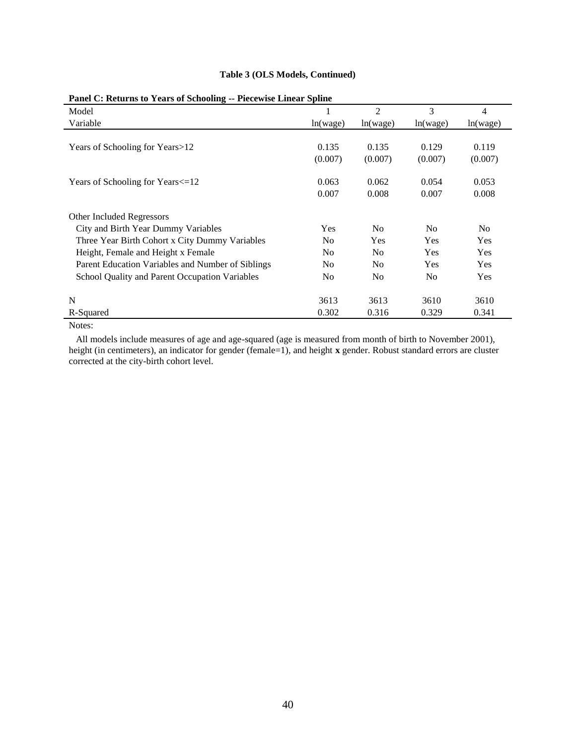| Panel C: Returns to Years of Schooling -- Piecewise Linear Spline |                |                |                |                |  |  |  |
|-------------------------------------------------------------------|----------------|----------------|----------------|----------------|--|--|--|
| Model                                                             |                | $\overline{2}$ | 3              | $\overline{4}$ |  |  |  |
| Variable                                                          | ln(wage)       | ln(wage)       | ln(wage)       | ln(wage)       |  |  |  |
|                                                                   |                |                |                |                |  |  |  |
| Years of Schooling for Years>12                                   | 0.135          | 0.135          | 0.129          | 0.119          |  |  |  |
|                                                                   | (0.007)        | (0.007)        | (0.007)        | (0.007)        |  |  |  |
| Years of Schooling for Years <= 12                                | 0.063          | 0.062          | 0.054          | 0.053          |  |  |  |
|                                                                   | 0.007          | 0.008          | 0.007          | 0.008          |  |  |  |
| Other Included Regressors                                         |                |                |                |                |  |  |  |
| City and Birth Year Dummy Variables                               | Yes            | N <sub>0</sub> | N <sub>0</sub> | No             |  |  |  |
| Three Year Birth Cohort x City Dummy Variables                    | No             | Yes            | Yes            | Yes            |  |  |  |
| Height, Female and Height x Female                                | N <sub>0</sub> | N <sub>0</sub> | Yes            | Yes            |  |  |  |
| Parent Education Variables and Number of Siblings                 | N <sub>0</sub> | N <sub>0</sub> | Yes            | Yes            |  |  |  |
| School Quality and Parent Occupation Variables                    | N <sub>0</sub> | N <sub>0</sub> | N <sub>0</sub> | Yes            |  |  |  |
| N                                                                 | 3613           | 3613           | 3610           | 3610           |  |  |  |
| R-Squared                                                         | 0.302          | 0.316          | 0.329          | 0.341          |  |  |  |

#### **Table 3 (OLS Models, Continued)**

#### **Panel C: Returns to Years of Schooling -- Piecewise Linear Spline**

Notes:

 All models include measures of age and age-squared (age is measured from month of birth to November 2001), height (in centimeters), an indicator for gender (female=1), and height **x** gender. Robust standard errors are cluster corrected at the city-birth cohort level.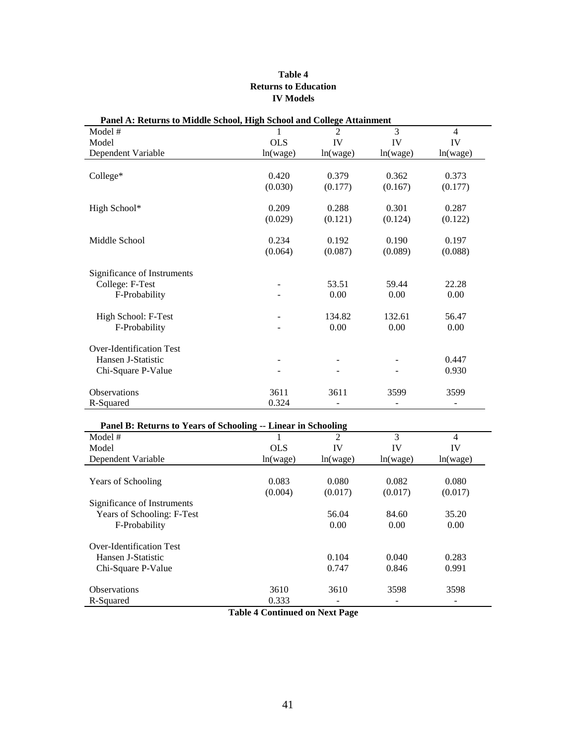#### **Table 4 Returns to Education IV Models**

| T and A. Keturns to Middle School, High School and Conege Attainment |            |                |          |                |
|----------------------------------------------------------------------|------------|----------------|----------|----------------|
| Model #                                                              | 1          | $\overline{2}$ | 3        | $\overline{4}$ |
| Model                                                                | <b>OLS</b> | IV             | IV       | IV             |
| Dependent Variable                                                   | ln(wage)   | ln(wage)       | ln(wage) | ln(wage)       |
|                                                                      |            |                |          |                |
| College*                                                             | 0.420      | 0.379          | 0.362    | 0.373          |
|                                                                      | (0.030)    | (0.177)        | (0.167)  | (0.177)        |
| High School*                                                         | 0.209      | 0.288          | 0.301    | 0.287          |
|                                                                      | (0.029)    | (0.121)        | (0.124)  | (0.122)        |
| Middle School                                                        | 0.234      | 0.192          | 0.190    | 0.197          |
|                                                                      | (0.064)    | (0.087)        | (0.089)  | (0.088)        |
| Significance of Instruments                                          |            |                |          |                |
| College: F-Test                                                      |            | 53.51          | 59.44    | 22.28          |
| F-Probability                                                        |            | 0.00           | 0.00     | 0.00           |
| High School: F-Test                                                  |            | 134.82         | 132.61   | 56.47          |
| F-Probability                                                        |            | 0.00           | 0.00     | 0.00           |
| Over-Identification Test                                             |            |                |          |                |
| Hansen J-Statistic                                                   |            |                |          | 0.447          |
| Chi-Square P-Value                                                   |            |                |          | 0.930          |
| Observations                                                         | 3611       | 3611           | 3599     | 3599           |
| R-Squared                                                            | 0.324      |                |          |                |

#### **Panel A: Returns to Middle School, High School and College Attainment**

| Panel B: Returns to Years of Schooling -- Linear in Schooling |            |          |          |          |  |  |  |  |
|---------------------------------------------------------------|------------|----------|----------|----------|--|--|--|--|
| Model #                                                       |            | 2        | 3        | 4        |  |  |  |  |
| Model                                                         | <b>OLS</b> | IV       | IV       | IV       |  |  |  |  |
| Dependent Variable                                            | ln(wage)   | ln(wage) | ln(wage) | ln(wage) |  |  |  |  |
|                                                               |            |          |          |          |  |  |  |  |
| <b>Years of Schooling</b>                                     | 0.083      | 0.080    | 0.082    | 0.080    |  |  |  |  |
|                                                               | (0.004)    | (0.017)  | (0.017)  | (0.017)  |  |  |  |  |
| Significance of Instruments                                   |            |          |          |          |  |  |  |  |
| Years of Schooling: F-Test                                    |            | 56.04    | 84.60    | 35.20    |  |  |  |  |
| F-Probability                                                 |            | 0.00     | 0.00     | 0.00     |  |  |  |  |
| Over-Identification Test                                      |            |          |          |          |  |  |  |  |
| Hansen J-Statistic                                            |            | 0.104    | 0.040    | 0.283    |  |  |  |  |
| Chi-Square P-Value                                            |            | 0.747    | 0.846    | 0.991    |  |  |  |  |
| <b>Observations</b>                                           | 3610       | 3610     | 3598     | 3598     |  |  |  |  |
| R-Squared                                                     | 0.333      |          |          |          |  |  |  |  |

**Table 4 Continued on Next Page**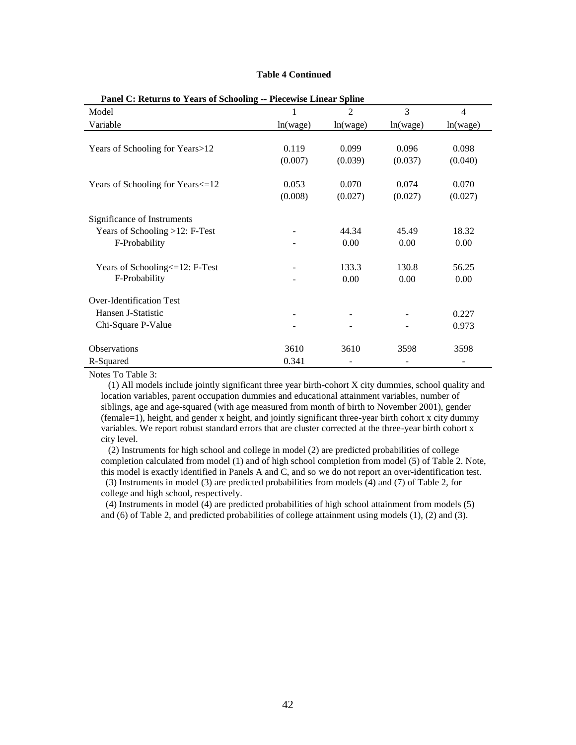#### **Table 4 Continued**

| Model                              | 1        | $\overline{2}$ | 3        | $\overline{4}$ |
|------------------------------------|----------|----------------|----------|----------------|
| Variable                           | ln(wage) | ln(wage)       | ln(wage) | ln(wage)       |
|                                    |          |                |          |                |
| Years of Schooling for Years>12    | 0.119    | 0.099          | 0.096    | 0.098          |
|                                    | (0.007)  | (0.039)        | (0.037)  | (0.040)        |
|                                    |          |                |          |                |
| Years of Schooling for Years <= 12 | 0.053    | 0.070          | 0.074    | 0.070          |
|                                    | (0.008)  | (0.027)        | (0.027)  | (0.027)        |
| Significance of Instruments        |          |                |          |                |
| Years of Schooling >12: F-Test     |          | 44.34          | 45.49    | 18.32          |
| F-Probability                      |          | 0.00           | 0.00     | 0.00           |
|                                    |          |                |          |                |
| Years of Schooling <= 12: F-Test   |          | 133.3          | 130.8    | 56.25          |
| F-Probability                      |          | 0.00           | 0.00     | 0.00           |
| <b>Over-Identification Test</b>    |          |                |          |                |
| Hansen J-Statistic                 |          |                |          |                |
|                                    | -        |                |          | 0.227          |
| Chi-Square P-Value                 |          |                |          | 0.973          |
| <b>Observations</b>                | 3610     | 3610           | 3598     | 3598           |
| R-Squared                          | 0.341    |                |          |                |

#### **Panel C: Returns to Years of Schooling -- Piecewise Linear Spline**

Notes To Table 3:

 (1) All models include jointly significant three year birth-cohort X city dummies, school quality and location variables, parent occupation dummies and educational attainment variables, number of siblings, age and age-squared (with age measured from month of birth to November 2001), gender (female=1), height, and gender x height, and jointly significant three-year birth cohort x city dummy variables. We report robust standard errors that are cluster corrected at the three-year birth cohort x city level.

 (2) Instruments for high school and college in model (2) are predicted probabilities of college completion calculated from model (1) and of high school completion from model (5) of Table 2. Note, this model is exactly identified in Panels A and C, and so we do not report an over-identification test.

 (3) Instruments in model (3) are predicted probabilities from models (4) and (7) of Table 2, for college and high school, respectively.

 (4) Instruments in model (4) are predicted probabilities of high school attainment from models (5) and (6) of Table 2, and predicted probabilities of college attainment using models (1), (2) and (3).